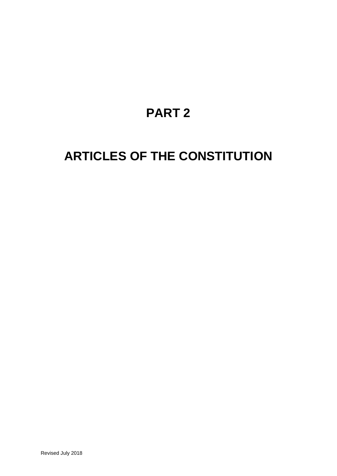# **PART 2**

# <span id="page-0-0"></span>**ARTICLES OF THE CONSTITUTION**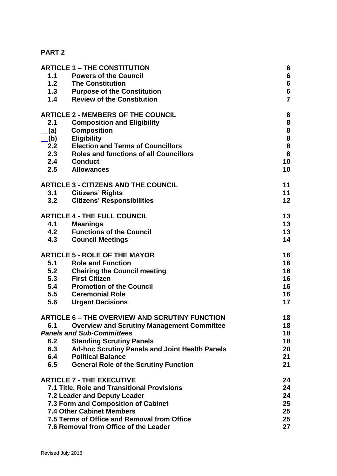### **[PART 2](#page-0-0)**

|     | <b>ARTICLE 1 - THE CONSTITUTION</b>                   | 6                                          |
|-----|-------------------------------------------------------|--------------------------------------------|
| 1.1 | <b>Powers of the Council</b>                          | $6\phantom{a}$                             |
| 1.2 | <b>The Constitution</b>                               |                                            |
| 1.3 | <b>Purpose of the Constitution</b>                    | $\begin{array}{c} 6 \\ 6 \end{array}$      |
| 1.4 | <b>Review of the Constitution</b>                     | $\overline{7}$                             |
|     | <b>ARTICLE 2 - MEMBERS OF THE COUNCIL</b>             | 8                                          |
| 2.1 | <b>Composition and Eligibility</b>                    | 8                                          |
| (a) | <b>Composition</b>                                    |                                            |
| (b) | <b>Eligibility</b>                                    | $\begin{array}{c} 8 \\ 8 \\ 8 \end{array}$ |
| 2.2 | <b>Election and Terms of Councillors</b>              |                                            |
| 2.3 | <b>Roles and functions of all Councillors</b>         | 8                                          |
| 2.4 | <b>Conduct</b>                                        | 10                                         |
| 2.5 | <b>Allowances</b>                                     | 10                                         |
|     | <b>ARTICLE 3 - CITIZENS AND THE COUNCIL</b>           | 11                                         |
| 3.1 | <b>Citizens' Rights</b>                               | 11                                         |
| 3.2 | <b>Citizens' Responsibilities</b>                     | 12                                         |
|     | <b>ARTICLE 4 - THE FULL COUNCIL</b>                   | 13                                         |
| 4.1 | <b>Meanings</b>                                       | 13                                         |
| 4.2 | <b>Functions of the Council</b>                       | 13                                         |
| 4.3 | <b>Council Meetings</b>                               | 14                                         |
|     | <b>ARTICLE 5 - ROLE OF THE MAYOR</b>                  | 16                                         |
| 5.1 | <b>Role and Function</b>                              | 16                                         |
| 5.2 | <b>Chairing the Council meeting</b>                   | 16                                         |
| 5.3 | <b>First Citizen</b>                                  | 16                                         |
| 5.4 | <b>Promotion of the Council</b>                       | 16                                         |
| 5.5 | <b>Ceremonial Role</b>                                | 16                                         |
| 5.6 | <b>Urgent Decisions</b>                               | 17                                         |
|     | <b>ARTICLE 6 - THE OVERVIEW AND SCRUTINY FUNCTION</b> | 18                                         |
| 6.1 | <b>Overview and Scrutiny Management Committee</b>     | 18                                         |
|     | <b>Panels and Sub-Committees</b>                      | 18                                         |
| 6.2 | <b>Standing Scrutiny Panels</b>                       | 18                                         |
| 6.3 | <b>Ad-hoc Scrutiny Panels and Joint Health Panels</b> | 20                                         |
| 6.4 | <b>Political Balance</b>                              | 21                                         |
| 6.5 | <b>General Role of the Scrutiny Function</b>          | 21                                         |
|     | <b>ARTICLE 7 - THE EXECUTIVE</b>                      | 24                                         |
|     | 7.1 Title, Role and Transitional Provisions           | 24                                         |
|     | 7.2 Leader and Deputy Leader                          | 24                                         |
|     | 7.3 Form and Composition of Cabinet                   | 25                                         |
|     | <b>7.4 Other Cabinet Members</b>                      | 25                                         |
|     | 7.5 Terms of Office and Removal from Office           | 25                                         |
|     | 7.6 Removal from Office of the Leader                 | 27                                         |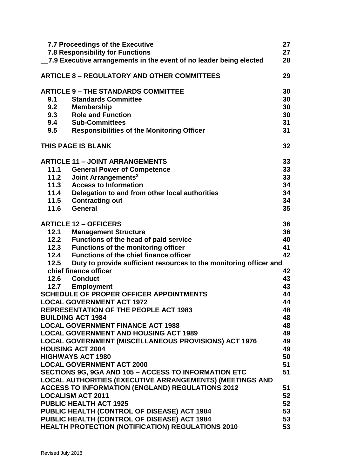|            | <b>7.7 Proceedings of the Executive</b><br><b>7.8 Responsibility for Functions</b>  | 27<br>27        |
|------------|-------------------------------------------------------------------------------------|-----------------|
|            | 7.9 Executive arrangements in the event of no leader being elected                  | 28              |
|            | <b>ARTICLE 8 - REGULATORY AND OTHER COMMITTEES</b>                                  | 29              |
|            | <b>ARTICLE 9 - THE STANDARDS COMMITTEE</b>                                          | 30              |
| 9.1        | <b>Standards Committee</b>                                                          | 30              |
| 9.2        | <b>Membership</b>                                                                   | 30              |
| 9.3        | <b>Role and Function</b>                                                            | 30              |
| 9.4<br>9.5 | <b>Sub-Committees</b><br><b>Responsibilities of the Monitoring Officer</b>          | 31<br>31        |
|            | THIS PAGE IS BLANK                                                                  | 32 <sub>2</sub> |
|            |                                                                                     |                 |
|            | <b>ARTICLE 11 - JOINT ARRANGEMENTS</b>                                              | 33              |
| 11.1       | <b>General Power of Competence</b>                                                  | 33              |
| 11.2       | Joint Arrangements <sup>2</sup>                                                     | 33              |
| 11.3       | <b>Access to Information</b>                                                        | 34              |
| 11.4       | Delegation to and from other local authorities                                      | 34              |
| 11.5       | <b>Contracting out</b>                                                              | 34              |
| 11.6       | General                                                                             | 35              |
|            | <b>ARTICLE 12 - OFFICERS</b>                                                        | 36              |
| 12.1       | <b>Management Structure</b>                                                         | 36              |
| 12.2       | Functions of the head of paid service                                               | 40              |
| 12.3       | <b>Functions of the monitoring officer</b>                                          | 41              |
|            | 12.4 Functions of the chief finance officer                                         | 42              |
| 12.5       | Duty to provide sufficient resources to the monitoring officer and                  |                 |
|            | chief finance officer                                                               | 42              |
|            | 12.6 Conduct                                                                        | 43              |
|            | 12.7 Employment                                                                     | 43              |
|            | <b>SCHEDULE OF PROPER OFFICER APPOINTMENTS</b>                                      | 44              |
|            | <b>LOCAL GOVERNMENT ACT 1972</b>                                                    | 44              |
|            | <b>REPRESENTATION OF THE PEOPLE ACT 1983</b>                                        | 48              |
|            | <b>BUILDING ACT 1984</b>                                                            | 48              |
|            | <b>LOCAL GOVERNMENT FINANCE ACT 1988</b>                                            | 48              |
|            | <b>LOCAL GOVERNMENT AND HOUSING ACT 1989</b>                                        | 49              |
|            | <b>LOCAL GOVERNMENT (MISCELLANEOUS PROVISIONS) ACT 1976</b>                         | 49              |
|            | <b>HOUSING ACT 2004</b>                                                             | 49              |
|            | <b>HIGHWAYS ACT 1980</b>                                                            | 50              |
|            | <b>LOCAL GOVERNMENT ACT 2000</b>                                                    | 51              |
|            | SECTIONS 9G, 9GA AND 105 - ACCESS TO INFORMATION ETC                                | 51              |
|            | <b>LOCAL AUTHORITIES (EXECUTIVE ARRANGEMENTS) (MEETINGS AND</b>                     |                 |
|            | <b>ACCESS TO INFORMATION (ENGLAND) REGULATIONS 2012</b><br><b>LOCALISM ACT 2011</b> | 51<br>52        |
|            | <b>PUBLIC HEALTH ACT 1925</b>                                                       | 52              |
|            | PUBLIC HEALTH (CONTROL OF DISEASE) ACT 1984                                         | 53              |
|            | PUBLIC HEALTH (CONTROL OF DISEASE) ACT 1984                                         | 53              |
|            | HEALTH PROTECTION (NOTIFICATION) REGULATIONS 2010                                   | 53              |
|            |                                                                                     |                 |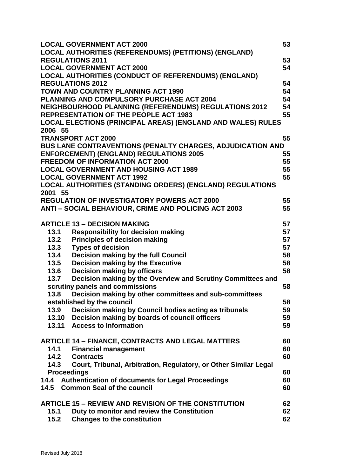|                    | <b>LOCAL GOVERNMENT ACT 2000</b>                                                | 53       |
|--------------------|---------------------------------------------------------------------------------|----------|
|                    | LOCAL AUTHORITIES (REFERENDUMS) (PETITIONS) (ENGLAND)                           |          |
|                    | <b>REGULATIONS 2011</b>                                                         | 53<br>54 |
|                    | <b>LOCAL GOVERNMENT ACT 2000</b>                                                |          |
|                    | LOCAL AUTHORITIES (CONDUCT OF REFERENDUMS) (ENGLAND)<br><b>REGULATIONS 2012</b> |          |
|                    |                                                                                 | 54<br>54 |
|                    | <b>TOWN AND COUNTRY PLANNING ACT 1990</b>                                       |          |
|                    | PLANNING AND COMPULSORY PURCHASE ACT 2004                                       | 54       |
|                    | <b>NEIGHBOURHOOD PLANNING (REFERENDUMS) REGULATIONS 2012</b>                    | 54       |
|                    | <b>REPRESENTATION OF THE PEOPLE ACT 1983</b>                                    | 55       |
|                    | <b>LOCAL ELECTIONS (PRINCIPAL AREAS) (ENGLAND AND WALES) RULES</b>              |          |
| 2006 55            |                                                                                 |          |
|                    | <b>TRANSPORT ACT 2000</b>                                                       | 55       |
|                    | BUS LANE CONTRAVENTIONS (PENALTY CHARGES, ADJUDICATION AND                      |          |
|                    | <b>ENFORCEMENT) (ENGLAND) REGULATIONS 2005</b>                                  | 55       |
|                    | <b>FREEDOM OF INFORMATION ACT 2000</b>                                          | 55       |
|                    | <b>LOCAL GOVERNMENT AND HOUSING ACT 1989</b>                                    | 55       |
|                    | <b>LOCAL GOVERNMENT ACT 1992</b>                                                | 55       |
|                    | LOCAL AUTHORITIES (STANDING ORDERS) (ENGLAND) REGULATIONS                       |          |
| 2001 55            |                                                                                 |          |
|                    | <b>REGULATION OF INVESTIGATORY POWERS ACT 2000</b>                              | 55       |
|                    | ANTI - SOCIAL BEHAVIOUR, CRIME AND POLICING ACT 2003                            | 55       |
|                    | <b>ARTICLE 13 - DECISION MAKING</b>                                             | 57       |
| 13.1               | <b>Responsibility for decision making</b>                                       | 57       |
| 13.2               | <b>Principles of decision making</b>                                            | 57       |
| 13.3               | <b>Types of decision</b>                                                        | 57       |
| 13.4               | Decision making by the full Council                                             | 58       |
| 13.5               | <b>Decision making by the Executive</b>                                         | 58       |
| 13.6               | <b>Decision making by officers</b>                                              | 58       |
| 13.7               | Decision making by the Overview and Scrutiny Committees and                     |          |
|                    | scrutiny panels and commissions                                                 | 58       |
| 13.8               | Decision making by other committees and sub-committees                          |          |
|                    | established by the council                                                      | 58       |
| 13.9               | Decision making by Council bodies acting as tribunals                           | 59       |
|                    | 13.10 Decision making by boards of council officers                             | 59       |
|                    | 13.11 Access to Information                                                     | 59       |
|                    | <b>ARTICLE 14 - FINANCE, CONTRACTS AND LEGAL MATTERS</b>                        | 60       |
| 14.1               | <b>Financial management</b>                                                     | 60       |
| 14.2               | <b>Contracts</b>                                                                | 60       |
| 14.3               | Court, Tribunal, Arbitration, Regulatory, or Other Similar Legal                |          |
| <b>Proceedings</b> |                                                                                 | 60       |
|                    | 14.4 Authentication of documents for Legal Proceedings                          | 60       |
|                    | 14.5 Common Seal of the council                                                 | 60       |
|                    | <b>ARTICLE 15 - REVIEW AND REVISION OF THE CONSTITUTION</b>                     | 62       |
| 15.1               | Duty to monitor and review the Constitution                                     | 62       |
| 15.2               | <b>Changes to the constitution</b>                                              | 62       |
|                    |                                                                                 |          |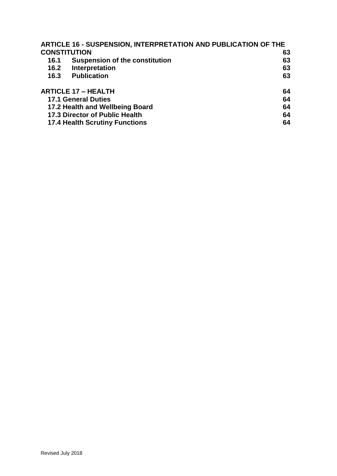|      | <b>ARTICLE 16 - SUSPENSION, INTERPRETATION AND PUBLICATION OF THE</b> |    |
|------|-----------------------------------------------------------------------|----|
|      | <b>CONSTITUTION</b>                                                   | 63 |
| 16.1 | <b>Suspension of the constitution</b>                                 | 63 |
| 16.2 | Interpretation                                                        | 63 |
| 16.3 | <b>Publication</b>                                                    | 63 |
|      | <b>ARTICLE 17 - HEALTH</b>                                            | 64 |
|      | <b>17.1 General Duties</b>                                            | 64 |
|      | 17.2 Health and Wellbeing Board                                       | 64 |
|      | <b>17.3 Director of Public Health</b>                                 | 64 |
|      | <b>17.4 Health Scrutiny Functions</b>                                 | 64 |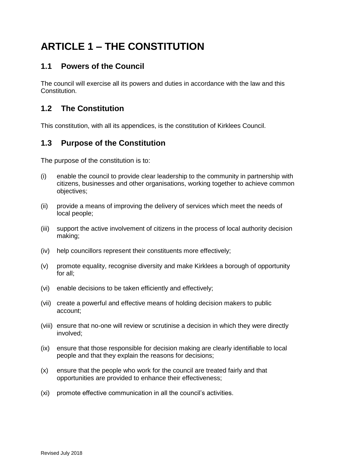# <span id="page-5-0"></span>**ARTICLE 1 – THE CONSTITUTION**

## <span id="page-5-1"></span>**1.1 Powers of the Council**

The council will exercise all its powers and duties in accordance with the law and this **Constitution** 

## <span id="page-5-2"></span>**1.2 The Constitution**

This constitution, with all its appendices, is the constitution of Kirklees Council.

## <span id="page-5-3"></span>**1.3 Purpose of the Constitution**

The purpose of the constitution is to:

- (i) enable the council to provide clear leadership to the community in partnership with citizens, businesses and other organisations, working together to achieve common objectives;
- (ii) provide a means of improving the delivery of services which meet the needs of local people;
- (iii) support the active involvement of citizens in the process of local authority decision making;
- (iv) help councillors represent their constituents more effectively;
- (v) promote equality, recognise diversity and make Kirklees a borough of opportunity for all;
- (vi) enable decisions to be taken efficiently and effectively;
- (vii) create a powerful and effective means of holding decision makers to public account;
- (viii) ensure that no-one will review or scrutinise a decision in which they were directly involved;
- (ix) ensure that those responsible for decision making are clearly identifiable to local people and that they explain the reasons for decisions;
- (x) ensure that the people who work for the council are treated fairly and that opportunities are provided to enhance their effectiveness;
- (xi) promote effective communication in all the council's activities.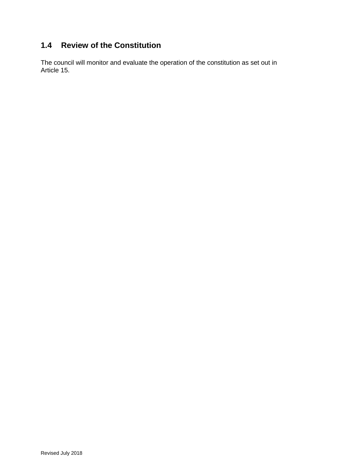# <span id="page-6-0"></span>**1.4 Review of the Constitution**

The council will monitor and evaluate the operation of the constitution as set out in Article 15.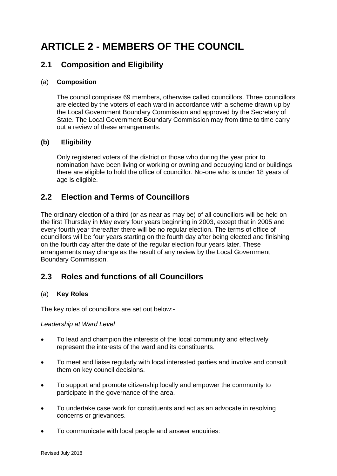# <span id="page-7-0"></span>**ARTICLE 2 - MEMBERS OF THE COUNCIL**

## <span id="page-7-1"></span>**2.1 Composition and Eligibility**

### <span id="page-7-2"></span>(a) **Composition**

The council comprises 69 members, otherwise called councillors. Three councillors are elected by the voters of each ward in accordance with a scheme drawn up by the Local Government Boundary Commission and approved by the Secretary of State. The Local Government Boundary Commission may from time to time carry out a review of these arrangements.

### <span id="page-7-3"></span>**(b) Eligibility**

Only registered voters of the district or those who during the year prior to nomination have been living or working or owning and occupying land or buildings there are eligible to hold the office of councillor. No-one who is under 18 years of age is eligible.

## <span id="page-7-4"></span>**2.2 Election and Terms of Councillors**

The ordinary election of a third (or as near as may be) of all councillors will be held on the first Thursday in May every four years beginning in 2003, except that in 2005 and every fourth year thereafter there will be no regular election. The terms of office of councillors will be four years starting on the fourth day after being elected and finishing on the fourth day after the date of the regular election four years later. These arrangements may change as the result of any review by the Local Government Boundary Commission.

## <span id="page-7-5"></span>**2.3 Roles and functions of all Councillors**

#### (a) **Key Roles**

The key roles of councillors are set out below:-

#### *Leadership at Ward Level*

- To lead and champion the interests of the local community and effectively represent the interests of the ward and its constituents.
- To meet and liaise regularly with local interested parties and involve and consult them on key council decisions.
- To support and promote citizenship locally and empower the community to participate in the governance of the area.
- To undertake case work for constituents and act as an advocate in resolving concerns or grievances.
- To communicate with local people and answer enquiries: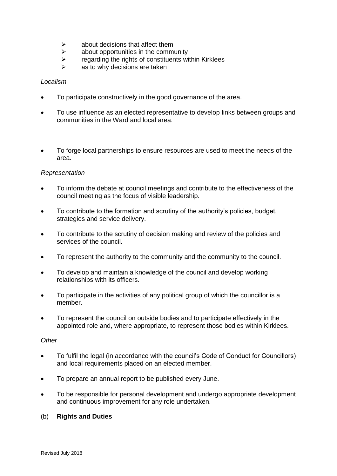- $\triangleright$  about decisions that affect them
- $\triangleright$  about opportunities in the community
- $\triangleright$  regarding the rights of constituents within Kirklees
- $\triangleright$  as to why decisions are taken

#### *Localism*

- To participate constructively in the good governance of the area.
- To use influence as an elected representative to develop links between groups and communities in the Ward and local area.
- To forge local partnerships to ensure resources are used to meet the needs of the area.

#### *Representation*

- To inform the debate at council meetings and contribute to the effectiveness of the council meeting as the focus of visible leadership.
- To contribute to the formation and scrutiny of the authority's policies, budget, strategies and service delivery.
- To contribute to the scrutiny of decision making and review of the policies and services of the council.
- To represent the authority to the community and the community to the council.
- To develop and maintain a knowledge of the council and develop working relationships with its officers.
- To participate in the activities of any political group of which the councillor is a member.
- To represent the council on outside bodies and to participate effectively in the appointed role and, where appropriate, to represent those bodies within Kirklees.

#### *Other*

- To fulfil the legal (in accordance with the council's Code of Conduct for Councillors) and local requirements placed on an elected member.
- To prepare an annual report to be published every June.
- To be responsible for personal development and undergo appropriate development and continuous improvement for any role undertaken.

#### (b) **Rights and Duties**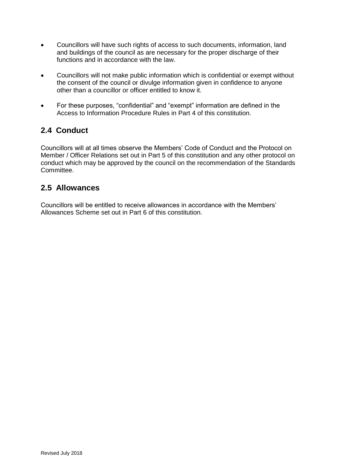- Councillors will have such rights of access to such documents, information, land and buildings of the council as are necessary for the proper discharge of their functions and in accordance with the law.
- Councillors will not make public information which is confidential or exempt without the consent of the council or divulge information given in confidence to anyone other than a councillor or officer entitled to know it.
- For these purposes, "confidential" and "exempt" information are defined in the Access to Information Procedure Rules in Part 4 of this constitution.

# <span id="page-9-0"></span>**2.4 Conduct**

Councillors will at all times observe the Members' Code of Conduct and the Protocol on Member / Officer Relations set out in Part 5 of this constitution and any other protocol on conduct which may be approved by the council on the recommendation of the Standards Committee.

## <span id="page-9-1"></span>**2.5 Allowances**

Councillors will be entitled to receive allowances in accordance with the Members' Allowances Scheme set out in Part 6 of this constitution.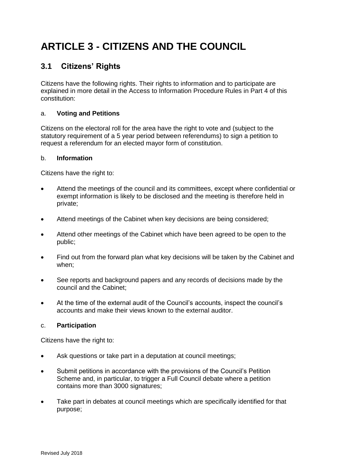# <span id="page-10-0"></span>**ARTICLE 3 - CITIZENS AND THE COUNCIL**

## <span id="page-10-1"></span>**3.1 Citizens' Rights**

Citizens have the following rights. Their rights to information and to participate are explained in more detail in the Access to Information Procedure Rules in Part 4 of this constitution:

### a. **Voting and Petitions**

Citizens on the electoral roll for the area have the right to vote and (subject to the statutory requirement of a 5 year period between referendums) to sign a petition to request a referendum for an elected mayor form of constitution.

#### b. **Information**

Citizens have the right to:

- Attend the meetings of the council and its committees, except where confidential or exempt information is likely to be disclosed and the meeting is therefore held in private;
- Attend meetings of the Cabinet when key decisions are being considered;
- Attend other meetings of the Cabinet which have been agreed to be open to the public;
- Find out from the forward plan what key decisions will be taken by the Cabinet and when;
- See reports and background papers and any records of decisions made by the council and the Cabinet;
- At the time of the external audit of the Council's accounts, inspect the council's accounts and make their views known to the external auditor.

### c. **Participation**

Citizens have the right to:

- Ask questions or take part in a deputation at council meetings;
- Submit petitions in accordance with the provisions of the Council's Petition Scheme and, in particular, to trigger a Full Council debate where a petition contains more than 3000 signatures;
- Take part in debates at council meetings which are specifically identified for that purpose;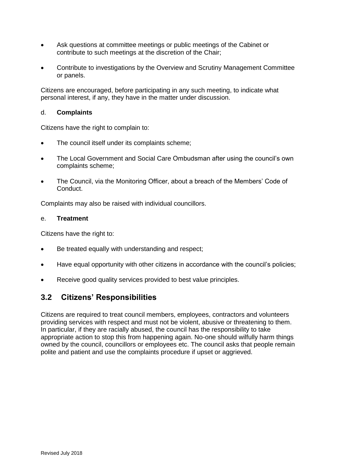- Ask questions at committee meetings or public meetings of the Cabinet or contribute to such meetings at the discretion of the Chair;
- Contribute to investigations by the Overview and Scrutiny Management Committee or panels.

Citizens are encouraged, before participating in any such meeting, to indicate what personal interest, if any, they have in the matter under discussion.

#### d. **Complaints**

Citizens have the right to complain to:

- The council itself under its complaints scheme;
- The Local Government and Social Care Ombudsman after using the council's own complaints scheme;
- The Council, via the Monitoring Officer, about a breach of the Members' Code of Conduct.

Complaints may also be raised with individual councillors.

#### e. **Treatment**

Citizens have the right to:

- Be treated equally with understanding and respect;
- Have equal opportunity with other citizens in accordance with the council's policies;
- Receive good quality services provided to best value principles.

## <span id="page-11-0"></span>**3.2 Citizens' Responsibilities**

Citizens are required to treat council members, employees, contractors and volunteers providing services with respect and must not be violent, abusive or threatening to them. In particular, if they are racially abused, the council has the responsibility to take appropriate action to stop this from happening again. No-one should wilfully harm things owned by the council, councillors or employees etc. The council asks that people remain polite and patient and use the complaints procedure if upset or aggrieved.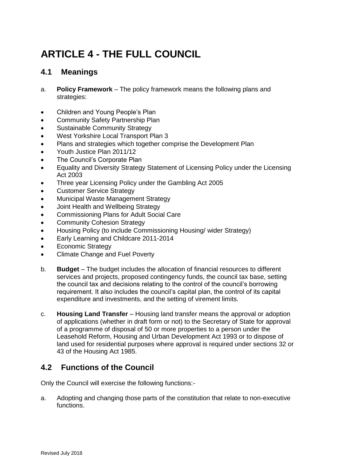# <span id="page-12-0"></span>**ARTICLE 4 - THE FULL COUNCIL**

## <span id="page-12-1"></span>**4.1 Meanings**

- a. **Policy Framework**  The policy framework means the following plans and strategies:
- Children and Young People's Plan
- Community Safety Partnership Plan
- Sustainable Community Strategy
- West Yorkshire Local Transport Plan 3
- Plans and strategies which together comprise the Development Plan
- Youth Justice Plan 2011/12
- The Council's Corporate Plan
- Equality and Diversity Strategy Statement of Licensing Policy under the Licensing Act 2003
- Three year Licensing Policy under the Gambling Act 2005
- Customer Service Strategy
- Municipal Waste Management Strategy
- Joint Health and Wellbeing Strategy
- Commissioning Plans for Adult Social Care
- Community Cohesion Strategy
- Housing Policy (to include Commissioning Housing/ wider Strategy)
- **Early Learning and Childcare 2011-2014**
- Economic Strategy
- Climate Change and Fuel Poverty
- b. **Budget**  The budget includes the allocation of financial resources to different services and projects, proposed contingency funds, the council tax base, setting the council tax and decisions relating to the control of the council's borrowing requirement. It also includes the council's capital plan, the control of its capital expenditure and investments, and the setting of virement limits.
- c. **Housing Land Transfer**  Housing land transfer means the approval or adoption of applications (whether in draft form or not) to the Secretary of State for approval of a programme of disposal of 50 or more properties to a person under the Leasehold Reform, Housing and Urban Development Act 1993 or to dispose of land used for residential purposes where approval is required under sections 32 or 43 of the Housing Act 1985.

## <span id="page-12-2"></span>**4.2 Functions of the Council**

Only the Council will exercise the following functions:-

a. Adopting and changing those parts of the constitution that relate to non-executive functions.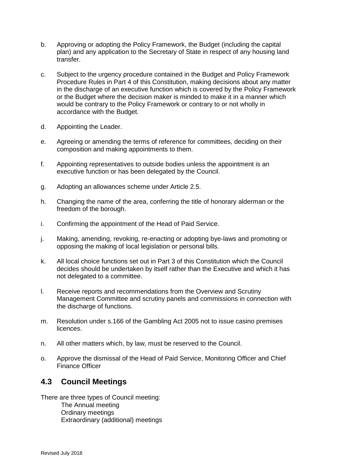- b. Approving or adopting the Policy Framework, the Budget (including the capital plan) and any application to the Secretary of State in respect of any housing land transfer.
- c. Subject to the urgency procedure contained in the Budget and Policy Framework Procedure Rules in Part 4 of this Constitution, making decisions about any matter in the discharge of an executive function which is covered by the Policy Framework or the Budget where the decision maker is minded to make it in a manner which would be contrary to the Policy Framework or contrary to or not wholly in accordance with the Budget.
- d. Appointing the Leader.
- e. Agreeing or amending the terms of reference for committees, deciding on their composition and making appointments to them.
- f. Appointing representatives to outside bodies unless the appointment is an executive function or has been delegated by the Council.
- g. Adopting an allowances scheme under Article 2.5.
- h. Changing the name of the area, conferring the title of honorary alderman or the freedom of the borough.
- i. Confirming the appointment of the Head of Paid Service.
- j. Making, amending, revoking, re-enacting or adopting bye-laws and promoting or opposing the making of local legislation or personal bills.
- k. All local choice functions set out in Part 3 of this Constitution which the Council decides should be undertaken by itself rather than the Executive and which it has not delegated to a committee.
- l. Receive reports and recommendations from the Overview and Scrutiny Management Committee and scrutiny panels and commissions in connection with the discharge of functions.
- m. Resolution under s.166 of the Gambling Act 2005 not to issue casino premises licences.
- n. All other matters which, by law, must be reserved to the Council.
- o. Approve the dismissal of the Head of Paid Service, Monitoring Officer and Chief Finance Officer

## <span id="page-13-0"></span>**4.3 Council Meetings**

There are three types of Council meeting:

The Annual meeting Ordinary meetings Extraordinary (additional) meetings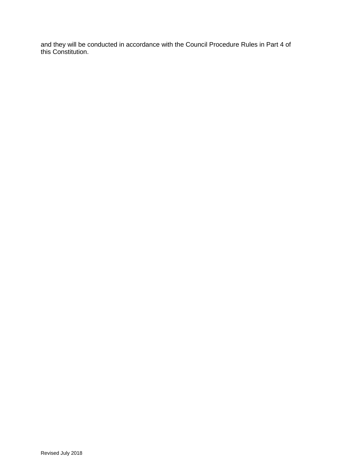and they will be conducted in accordance with the Council Procedure Rules in Part 4 of this Constitution.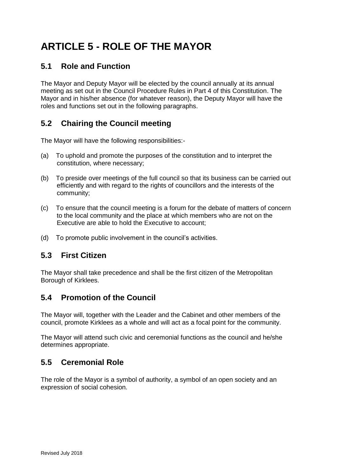# <span id="page-15-0"></span>**ARTICLE 5 - ROLE OF THE MAYOR**

# <span id="page-15-1"></span>**5.1 Role and Function**

The Mayor and Deputy Mayor will be elected by the council annually at its annual meeting as set out in the Council Procedure Rules in Part 4 of this Constitution. The Mayor and in his/her absence (for whatever reason), the Deputy Mayor will have the roles and functions set out in the following paragraphs.

# <span id="page-15-2"></span>**5.2 Chairing the Council meeting**

The Mayor will have the following responsibilities:-

- (a) To uphold and promote the purposes of the constitution and to interpret the constitution, where necessary;
- (b) To preside over meetings of the full council so that its business can be carried out efficiently and with regard to the rights of councillors and the interests of the community;
- (c) To ensure that the council meeting is a forum for the debate of matters of concern to the local community and the place at which members who are not on the Executive are able to hold the Executive to account;
- (d) To promote public involvement in the council's activities.

# <span id="page-15-3"></span>**5.3 First Citizen**

The Mayor shall take precedence and shall be the first citizen of the Metropolitan Borough of Kirklees.

## <span id="page-15-4"></span>**5.4 Promotion of the Council**

The Mayor will, together with the Leader and the Cabinet and other members of the council, promote Kirklees as a whole and will act as a focal point for the community.

The Mayor will attend such civic and ceremonial functions as the council and he/she determines appropriate.

# <span id="page-15-5"></span>**5.5 Ceremonial Role**

The role of the Mayor is a symbol of authority, a symbol of an open society and an expression of social cohesion.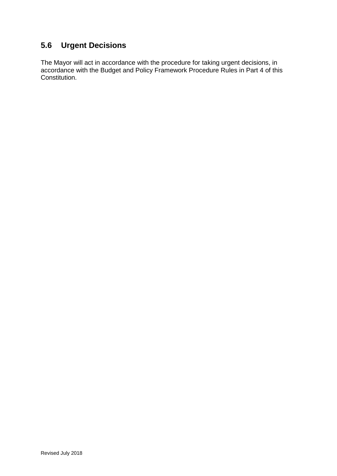# <span id="page-16-0"></span>**5.6 Urgent Decisions**

The Mayor will act in accordance with the procedure for taking urgent decisions, in accordance with the Budget and Policy Framework Procedure Rules in Part 4 of this Constitution.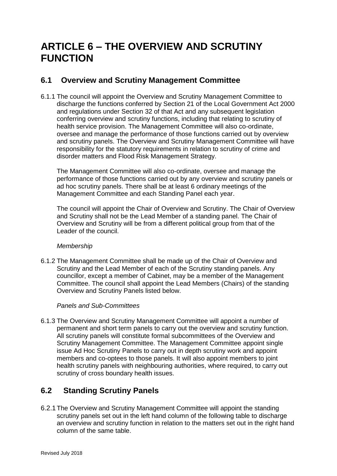# <span id="page-17-0"></span>**ARTICLE 6 – THE OVERVIEW AND SCRUTINY FUNCTION**

## <span id="page-17-1"></span>**6.1 Overview and Scrutiny Management Committee**

6.1.1 The council will appoint the Overview and Scrutiny Management Committee to discharge the functions conferred by Section 21 of the Local Government Act 2000 and regulations under Section 32 of that Act and any subsequent legislation conferring overview and scrutiny functions, including that relating to scrutiny of health service provision. The Management Committee will also co-ordinate, oversee and manage the performance of those functions carried out by overview and scrutiny panels. The Overview and Scrutiny Management Committee will have responsibility for the statutory requirements in relation to scrutiny of crime and disorder matters and Flood Risk Management Strategy.

The Management Committee will also co-ordinate, oversee and manage the performance of those functions carried out by any overview and scrutiny panels or ad hoc scrutiny panels. There shall be at least 6 ordinary meetings of the Management Committee and each Standing Panel each year.

The council will appoint the Chair of Overview and Scrutiny. The Chair of Overview and Scrutiny shall not be the Lead Member of a standing panel. The Chair of Overview and Scrutiny will be from a different political group from that of the Leader of the council.

### *Membership*

6.1.2 The Management Committee shall be made up of the Chair of Overview and Scrutiny and the Lead Member of each of the Scrutiny standing panels. Any councillor, except a member of Cabinet, may be a member of the Management Committee. The council shall appoint the Lead Members (Chairs) of the standing Overview and Scrutiny Panels listed below.

### <span id="page-17-2"></span>*Panels and Sub-Committees*

6.1.3 The Overview and Scrutiny Management Committee will appoint a number of permanent and short term panels to carry out the overview and scrutiny function. All scrutiny panels will constitute formal subcommittees of the Overview and Scrutiny Management Committee. The Management Committee appoint single issue Ad Hoc Scrutiny Panels to carry out in depth scrutiny work and appoint members and co-optees to those panels. It will also appoint members to joint health scrutiny panels with neighbouring authorities, where required, to carry out scrutiny of cross boundary health issues.

# <span id="page-17-3"></span>**6.2 Standing Scrutiny Panels**

6.2.1The Overview and Scrutiny Management Committee will appoint the standing scrutiny panels set out in the left hand column of the following table to discharge an overview and scrutiny function in relation to the matters set out in the right hand column of the same table.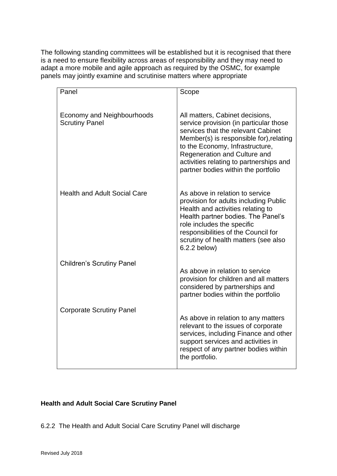The following standing committees will be established but it is recognised that there is a need to ensure flexibility across areas of responsibility and they may need to adapt a more mobile and agile approach as required by the OSMC, for example panels may jointly examine and scrutinise matters where appropriate

| Panel                                                      |                                                                                                                                                                                                                                                                                  |
|------------------------------------------------------------|----------------------------------------------------------------------------------------------------------------------------------------------------------------------------------------------------------------------------------------------------------------------------------|
|                                                            | Scope                                                                                                                                                                                                                                                                            |
| <b>Economy and Neighbourhoods</b><br><b>Scrutiny Panel</b> | All matters, Cabinet decisions,<br>service provision (in particular those<br>services that the relevant Cabinet<br>Member(s) is responsible for), relating<br>to the Economy, Infrastructure,<br>Regeneration and Culture and                                                    |
|                                                            | activities relating to partnerships and<br>partner bodies within the portfolio                                                                                                                                                                                                   |
| <b>Health and Adult Social Care</b>                        | As above in relation to service<br>provision for adults including Public<br>Health and activities relating to<br>Health partner bodies. The Panel's<br>role includes the specific<br>responsibilities of the Council for<br>scrutiny of health matters (see also<br>6.2.2 below) |
| <b>Children's Scrutiny Panel</b>                           |                                                                                                                                                                                                                                                                                  |
|                                                            | As above in relation to service<br>provision for children and all matters<br>considered by partnerships and<br>partner bodies within the portfolio                                                                                                                               |
| <b>Corporate Scrutiny Panel</b>                            | As above in relation to any matters<br>relevant to the issues of corporate<br>services, including Finance and other<br>support services and activities in<br>respect of any partner bodies within<br>the portfolio.                                                              |

### **Health and Adult Social Care Scrutiny Panel**

6.2.2 The Health and Adult Social Care Scrutiny Panel will discharge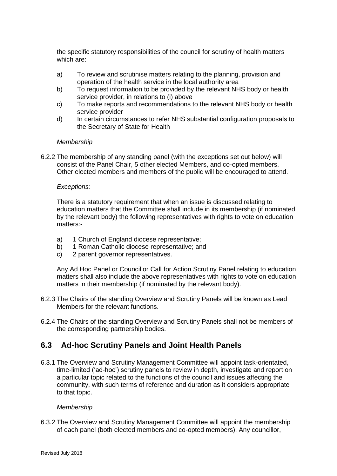the specific statutory responsibilities of the council for scrutiny of health matters which are:

- a) To review and scrutinise matters relating to the planning, provision and operation of the health service in the local authority area
- b) To request information to be provided by the relevant NHS body or health service provider, in relations to (i) above
- c) To make reports and recommendations to the relevant NHS body or health service provider
- d) In certain circumstances to refer NHS substantial configuration proposals to the Secretary of State for Health

#### *Membership*

6.2.2 The membership of any standing panel (with the exceptions set out below) will consist of the Panel Chair, 5 other elected Members, and co-opted members. Other elected members and members of the public will be encouraged to attend.

#### *Exceptions:*

There is a statutory requirement that when an issue is discussed relating to education matters that the Committee shall include in its membership (if nominated by the relevant body) the following representatives with rights to vote on education matters:-

- a) 1 Church of England diocese representative;
- b) 1 Roman Catholic diocese representative; and
- c) 2 parent governor representatives.

Any Ad Hoc Panel or Councillor Call for Action Scrutiny Panel relating to education matters shall also include the above representatives with rights to vote on education matters in their membership (if nominated by the relevant body).

- 6.2.3 The Chairs of the standing Overview and Scrutiny Panels will be known as Lead Members for the relevant functions.
- 6.2.4 The Chairs of the standing Overview and Scrutiny Panels shall not be members of the corresponding partnership bodies.

### <span id="page-19-0"></span>**6.3 Ad-hoc Scrutiny Panels and Joint Health Panels**

6.3.1 The Overview and Scrutiny Management Committee will appoint task-orientated, time-limited ('ad-hoc') scrutiny panels to review in depth, investigate and report on a particular topic related to the functions of the council and issues affecting the community, with such terms of reference and duration as it considers appropriate to that topic.

#### *Membership*

6.3.2 The Overview and Scrutiny Management Committee will appoint the membership of each panel (both elected members and co-opted members). Any councillor,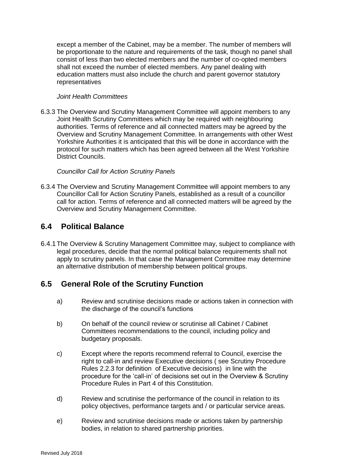except a member of the Cabinet, may be a member. The number of members will be proportionate to the nature and requirements of the task, though no panel shall consist of less than two elected members and the number of co-opted members shall not exceed the number of elected members. Any panel dealing with education matters must also include the church and parent governor statutory representatives

#### *Joint Health Committees*

6.3.3 The Overview and Scrutiny Management Committee will appoint members to any Joint Health Scrutiny Committees which may be required with neighbouring authorities. Terms of reference and all connected matters may be agreed by the Overview and Scrutiny Management Committee. In arrangements with other West Yorkshire Authorities it is anticipated that this will be done in accordance with the protocol for such matters which has been agreed between all the West Yorkshire District Councils.

#### *Councillor Call for Action Scrutiny Panels*

6.3.4 The Overview and Scrutiny Management Committee will appoint members to any Councillor Call for Action Scrutiny Panels, established as a result of a councillor call for action. Terms of reference and all connected matters will be agreed by the Overview and Scrutiny Management Committee.

## <span id="page-20-0"></span>**6.4 Political Balance**

6.4.1The Overview & Scrutiny Management Committee may, subject to compliance with legal procedures, decide that the normal political balance requirements shall not apply to scrutiny panels. In that case the Management Committee may determine an alternative distribution of membership between political groups.

## <span id="page-20-1"></span>**6.5 General Role of the Scrutiny Function**

- a) Review and scrutinise decisions made or actions taken in connection with the discharge of the council's functions
- b) On behalf of the council review or scrutinise all Cabinet / Cabinet Committees recommendations to the council, including policy and budgetary proposals.
- c) Except where the reports recommend referral to Council, exercise the right to call-in and review Executive decisions ( see Scrutiny Procedure Rules 2.2.3 for definition of Executive decisions) in line with the procedure for the 'call-in' of decisions set out in the Overview & Scrutiny Procedure Rules in Part 4 of this Constitution.
- d) Review and scrutinise the performance of the council in relation to its policy objectives, performance targets and / or particular service areas.
- e) Review and scrutinise decisions made or actions taken by partnership bodies, in relation to shared partnership priorities.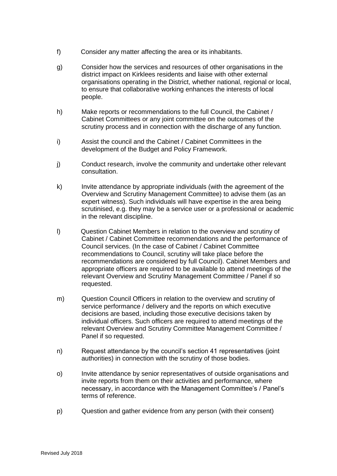- f) Consider any matter affecting the area or its inhabitants.
- g) Consider how the services and resources of other organisations in the district impact on Kirklees residents and liaise with other external organisations operating in the District, whether national, regional or local, to ensure that collaborative working enhances the interests of local people.
- h) Make reports or recommendations to the full Council, the Cabinet / Cabinet Committees or any joint committee on the outcomes of the scrutiny process and in connection with the discharge of any function.
- i) Assist the council and the Cabinet / Cabinet Committees in the development of the Budget and Policy Framework.
- j) Conduct research, involve the community and undertake other relevant consultation.
- k) Invite attendance by appropriate individuals (with the agreement of the Overview and Scrutiny Management Committee) to advise them (as an expert witness). Such individuals will have expertise in the area being scrutinised, e.g. they may be a service user or a professional or academic in the relevant discipline.
- l) Question Cabinet Members in relation to the overview and scrutiny of Cabinet / Cabinet Committee recommendations and the performance of Council services. (In the case of Cabinet / Cabinet Committee recommendations to Council, scrutiny will take place before the recommendations are considered by full Council). Cabinet Members and appropriate officers are required to be available to attend meetings of the relevant Overview and Scrutiny Management Committee / Panel if so requested.
- m) Question Council Officers in relation to the overview and scrutiny of service performance / delivery and the reports on which executive decisions are based, including those executive decisions taken by individual officers. Such officers are required to attend meetings of the relevant Overview and Scrutiny Committee Management Committee / Panel if so requested.
- n) Request attendance by the council's section 41 representatives (joint authorities) in connection with the scrutiny of those bodies.
- o) Invite attendance by senior representatives of outside organisations and invite reports from them on their activities and performance, where necessary, in accordance with the Management Committee's / Panel's terms of reference.
- p) Question and gather evidence from any person (with their consent)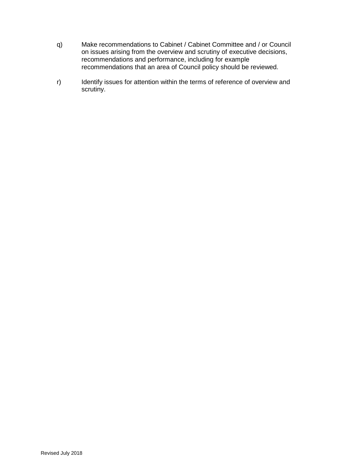- q) Make recommendations to Cabinet / Cabinet Committee and / or Council on issues arising from the overview and scrutiny of executive decisions, recommendations and performance, including for example recommendations that an area of Council policy should be reviewed.
- r) Identify issues for attention within the terms of reference of overview and scrutiny.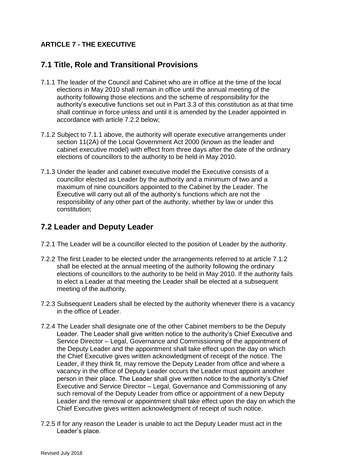### <span id="page-23-0"></span>**ARTICLE 7 - THE EXECUTIVE**

## <span id="page-23-1"></span>**7.1 Title, Role and Transitional Provisions**

- 7.1.1 The leader of the Council and Cabinet who are in office at the time of the local elections in May 2010 shall remain in office until the annual meeting of the authority following those elections and the scheme of responsibility for the authority's executive functions set out in Part 3.3 of this constitution as at that time shall continue in force unless and until it is amended by the Leader appointed in accordance with article 7.2.2 below;
- 7.1.2 Subject to 7.1.1 above, the authority will operate executive arrangements under section 11(2A) of the Local Government Act 2000 (known as the leader and cabinet executive model) with effect from three days after the date of the ordinary elections of councillors to the authority to be held in May 2010.
- 7.1.3 Under the leader and cabinet executive model the Executive consists of a councillor elected as Leader by the authority and a minimum of two and a maximum of nine councillors appointed to the Cabinet by the Leader. The Executive will carry out all of the authority's functions which are not the responsibility of any other part of the authority, whether by law or under this constitution;

## <span id="page-23-2"></span>**7.2 Leader and Deputy Leader**

- 7.2.1 The Leader will be a councillor elected to the position of Leader by the authority.
- 7.2.2 The first Leader to be elected under the arrangements referred to at article 7.1.2 shall be elected at the annual meeting of the authority following the ordinary elections of councillors to the authority to be held in May 2010. If the authority fails to elect a Leader at that meeting the Leader shall be elected at a subsequent meeting of the authority.
- 7.2.3 Subsequent Leaders shall be elected by the authority whenever there is a vacancy in the office of Leader.
- 7.2.4 The Leader shall designate one of the other Cabinet members to be the Deputy Leader. The Leader shall give written notice to the authority's Chief Executive and Service Director – Legal, Governance and Commissioning of the appointment of the Deputy Leader and the appointment shall take effect upon the day on which the Chief Executive gives written acknowledgment of receipt of the notice. The Leader, if they think fit, may remove the Deputy Leader from office and where a vacancy in the office of Deputy Leader occurs the Leader must appoint another person in their place. The Leader shall give written notice to the authority's Chief Executive and Service Director – Legal, Governance and Commissioning of any such removal of the Deputy Leader from office or appointment of a new Deputy Leader and the removal or appointment shall take effect upon the day on which the Chief Executive gives written acknowledgment of receipt of such notice.
- 7.2.5 If for any reason the Leader is unable to act the Deputy Leader must act in the Leader's place.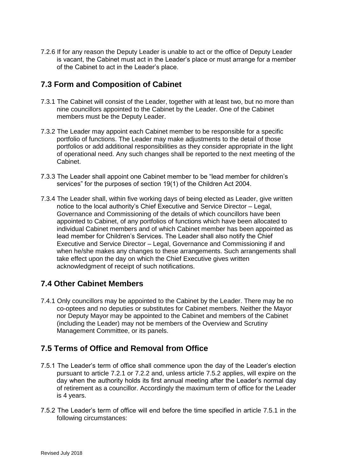7.2.6 If for any reason the Deputy Leader is unable to act or the office of Deputy Leader is vacant, the Cabinet must act in the Leader's place or must arrange for a member of the Cabinet to act in the Leader's place.

## <span id="page-24-0"></span>**7.3 Form and Composition of Cabinet**

- 7.3.1 The Cabinet will consist of the Leader, together with at least two, but no more than nine councillors appointed to the Cabinet by the Leader. One of the Cabinet members must be the Deputy Leader.
- 7.3.2 The Leader may appoint each Cabinet member to be responsible for a specific portfolio of functions. The Leader may make adjustments to the detail of those portfolios or add additional responsibilities as they consider appropriate in the light of operational need. Any such changes shall be reported to the next meeting of the Cabinet.
- 7.3.3 The Leader shall appoint one Cabinet member to be "lead member for children's services" for the purposes of section 19(1) of the Children Act 2004.
- 7.3.4 The Leader shall, within five working days of being elected as Leader, give written notice to the local authority's Chief Executive and Service Director – Legal, Governance and Commissioning of the details of which councillors have been appointed to Cabinet, of any portfolios of functions which have been allocated to individual Cabinet members and of which Cabinet member has been appointed as lead member for Children's Services. The Leader shall also notify the Chief Executive and Service Director – Legal, Governance and Commissioning if and when he/she makes any changes to these arrangements. Such arrangements shall take effect upon the day on which the Chief Executive gives written acknowledgment of receipt of such notifications.

## <span id="page-24-1"></span>**7.4 Other Cabinet Members**

7.4.1 Only councillors may be appointed to the Cabinet by the Leader. There may be no co-optees and no deputies or substitutes for Cabinet members. Neither the Mayor nor Deputy Mayor may be appointed to the Cabinet and members of the Cabinet (including the Leader) may not be members of the Overview and Scrutiny Management Committee, or its panels.

## <span id="page-24-2"></span>**7.5 Terms of Office and Removal from Office**

- 7.5.1 The Leader's term of office shall commence upon the day of the Leader's election pursuant to article 7.2.1 or 7.2.2 and, unless article 7.5.2 applies, will expire on the day when the authority holds its first annual meeting after the Leader's normal day of retirement as a councillor. Accordingly the maximum term of office for the Leader is 4 years.
- 7.5.2 The Leader's term of office will end before the time specified in article 7.5.1 in the following circumstances: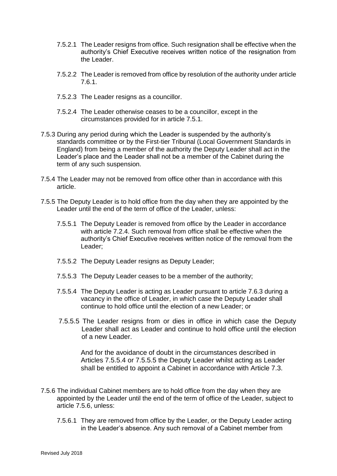- 7.5.2.1 The Leader resigns from office. Such resignation shall be effective when the authority's Chief Executive receives written notice of the resignation from the Leader.
- 7.5.2.2 The Leader is removed from office by resolution of the authority under article 7.6.1.
- 7.5.2.3 The Leader resigns as a councillor.
- 7.5.2.4 The Leader otherwise ceases to be a councillor, except in the circumstances provided for in article 7.5.1.
- 7.5.3 During any period during which the Leader is suspended by the authority's standards committee or by the First-tier Tribunal (Local Government Standards in England) from being a member of the authority the Deputy Leader shall act in the Leader's place and the Leader shall not be a member of the Cabinet during the term of any such suspension.
- 7.5.4 The Leader may not be removed from office other than in accordance with this article.
- 7.5.5 The Deputy Leader is to hold office from the day when they are appointed by the Leader until the end of the term of office of the Leader, unless:
	- 7.5.5.1 The Deputy Leader is removed from office by the Leader in accordance with article 7.2.4. Such removal from office shall be effective when the authority's Chief Executive receives written notice of the removal from the Leader;
	- 7.5.5.2 The Deputy Leader resigns as Deputy Leader;
	- 7.5.5.3 The Deputy Leader ceases to be a member of the authority;
	- 7.5.5.4 The Deputy Leader is acting as Leader pursuant to article 7.6.3 during a vacancy in the office of Leader, in which case the Deputy Leader shall continue to hold office until the election of a new Leader; or
	- 7.5.5.5 The Leader resigns from or dies in office in which case the Deputy Leader shall act as Leader and continue to hold office until the election of a new Leader.

And for the avoidance of doubt in the circumstances described in Articles 7.5.5.4 or 7.5.5.5 the Deputy Leader whilst acting as Leader shall be entitled to appoint a Cabinet in accordance with Article 7.3.

- 7.5.6 The individual Cabinet members are to hold office from the day when they are appointed by the Leader until the end of the term of office of the Leader, subject to article 7.5.6, unless:
	- 7.5.6.1 They are removed from office by the Leader, or the Deputy Leader acting in the Leader's absence. Any such removal of a Cabinet member from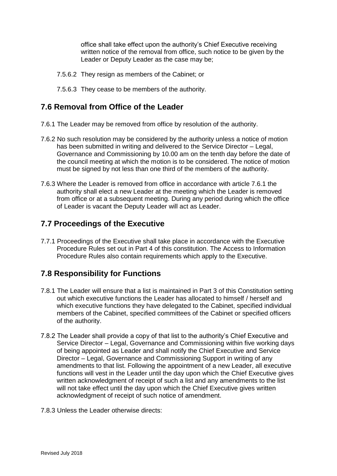office shall take effect upon the authority's Chief Executive receiving written notice of the removal from office, such notice to be given by the Leader or Deputy Leader as the case may be;

- 7.5.6.2 They resign as members of the Cabinet; or
- 7.5.6.3 They cease to be members of the authority.

## <span id="page-26-0"></span>**7.6 Removal from Office of the Leader**

- 7.6.1 The Leader may be removed from office by resolution of the authority.
- 7.6.2 No such resolution may be considered by the authority unless a notice of motion has been submitted in writing and delivered to the Service Director – Legal, Governance and Commissioning by 10.00 am on the tenth day before the date of the council meeting at which the motion is to be considered. The notice of motion must be signed by not less than one third of the members of the authority.
- 7.6.3 Where the Leader is removed from office in accordance with article 7.6.1 the authority shall elect a new Leader at the meeting which the Leader is removed from office or at a subsequent meeting. During any period during which the office of Leader is vacant the Deputy Leader will act as Leader.

## <span id="page-26-1"></span>**7.7 Proceedings of the Executive**

7.7.1 Proceedings of the Executive shall take place in accordance with the Executive Procedure Rules set out in Part 4 of this constitution. The Access to Information Procedure Rules also contain requirements which apply to the Executive.

# <span id="page-26-2"></span>**7.8 Responsibility for Functions**

- 7.8.1 The Leader will ensure that a list is maintained in Part 3 of this Constitution setting out which executive functions the Leader has allocated to himself / herself and which executive functions they have delegated to the Cabinet, specified individual members of the Cabinet, specified committees of the Cabinet or specified officers of the authority.
- 7.8.2 The Leader shall provide a copy of that list to the authority's Chief Executive and Service Director – Legal, Governance and Commissioning within five working days of being appointed as Leader and shall notify the Chief Executive and Service Director – Legal, Governance and Commissioning Support in writing of any amendments to that list. Following the appointment of a new Leader, all executive functions will vest in the Leader until the day upon which the Chief Executive gives written acknowledgment of receipt of such a list and any amendments to the list will not take effect until the day upon which the Chief Executive gives written acknowledgment of receipt of such notice of amendment.
- 7.8.3 Unless the Leader otherwise directs: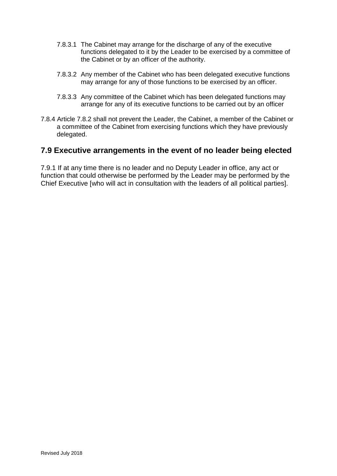- 7.8.3.1 The Cabinet may arrange for the discharge of any of the executive functions delegated to it by the Leader to be exercised by a committee of the Cabinet or by an officer of the authority.
- 7.8.3.2 Any member of the Cabinet who has been delegated executive functions may arrange for any of those functions to be exercised by an officer.
- 7.8.3.3 Any committee of the Cabinet which has been delegated functions may arrange for any of its executive functions to be carried out by an officer
- 7.8.4 Article 7.8.2 shall not prevent the Leader, the Cabinet, a member of the Cabinet or a committee of the Cabinet from exercising functions which they have previously delegated.

## <span id="page-27-0"></span>**7.9 Executive arrangements in the event of no leader being elected**

7.9.1 If at any time there is no leader and no Deputy Leader in office, any act or function that could otherwise be performed by the Leader may be performed by the Chief Executive [who will act in consultation with the leaders of all political parties].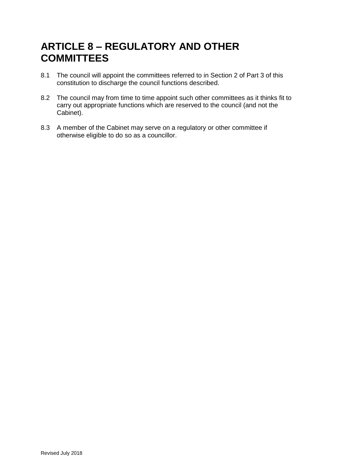# <span id="page-28-0"></span>**ARTICLE 8 – REGULATORY AND OTHER COMMITTEES**

- 8.1 The council will appoint the committees referred to in Section 2 of Part 3 of this constitution to discharge the council functions described.
- 8.2 The council may from time to time appoint such other committees as it thinks fit to carry out appropriate functions which are reserved to the council (and not the Cabinet).
- 8.3 A member of the Cabinet may serve on a regulatory or other committee if otherwise eligible to do so as a councillor.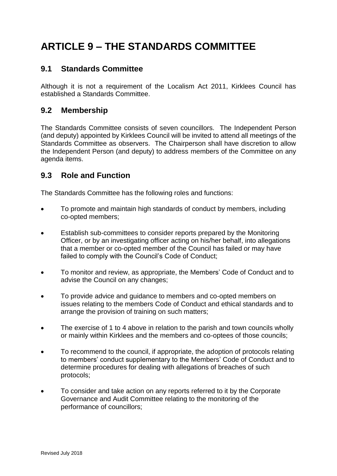# <span id="page-29-0"></span>**ARTICLE 9 – THE STANDARDS COMMITTEE**

## <span id="page-29-1"></span>**9.1 Standards Committee**

Although it is not a requirement of the Localism Act 2011, Kirklees Council has established a Standards Committee.

### <span id="page-29-2"></span>**9.2 Membership**

The Standards Committee consists of seven councillors. The Independent Person (and deputy) appointed by Kirklees Council will be invited to attend all meetings of the Standards Committee as observers. The Chairperson shall have discretion to allow the Independent Person (and deputy) to address members of the Committee on any agenda items.

## <span id="page-29-3"></span>**9.3 Role and Function**

The Standards Committee has the following roles and functions:

- To promote and maintain high standards of conduct by members, including co-opted members;
- Establish sub-committees to consider reports prepared by the Monitoring Officer, or by an investigating officer acting on his/her behalf, into allegations that a member or co-opted member of the Council has failed or may have failed to comply with the Council's Code of Conduct;
- To monitor and review, as appropriate, the Members' Code of Conduct and to advise the Council on any changes;
- To provide advice and guidance to members and co-opted members on issues relating to the members Code of Conduct and ethical standards and to arrange the provision of training on such matters;
- The exercise of 1 to 4 above in relation to the parish and town councils wholly or mainly within Kirklees and the members and co-optees of those councils;
- To recommend to the council, if appropriate, the adoption of protocols relating to members' conduct supplementary to the Members' Code of Conduct and to determine procedures for dealing with allegations of breaches of such protocols;
- To consider and take action on any reports referred to it by the Corporate Governance and Audit Committee relating to the monitoring of the performance of councillors;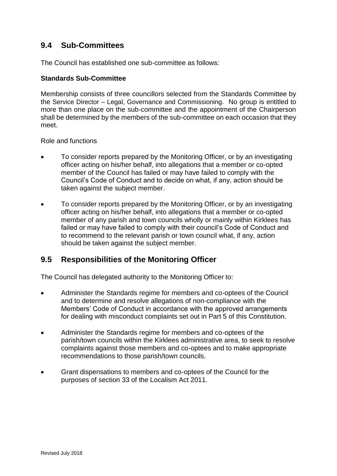# <span id="page-30-0"></span>**9.4 Sub-Committees**

The Council has established one sub-committee as follows:

### **Standards Sub-Committee**

Membership consists of three councillors selected from the Standards Committee by the Service Director – Legal, Governance and Commissioning. No group is entitled to more than one place on the sub-committee and the appointment of the Chairperson shall be determined by the members of the sub-committee on each occasion that they meet.

Role and functions

- To consider reports prepared by the Monitoring Officer, or by an investigating officer acting on his/her behalf, into allegations that a member or co-opted member of the Council has failed or may have failed to comply with the Council's Code of Conduct and to decide on what, if any, action should be taken against the subject member.
- To consider reports prepared by the Monitoring Officer, or by an investigating officer acting on his/her behalf, into allegations that a member or co-opted member of any parish and town councils wholly or mainly within Kirklees has failed or may have failed to comply with their council's Code of Conduct and to recommend to the relevant parish or town council what, if any, action should be taken against the subject member.

## <span id="page-30-1"></span>**9.5 Responsibilities of the Monitoring Officer**

The Council has delegated authority to the Monitoring Officer to:

- Administer the Standards regime for members and co-optees of the Council and to determine and resolve allegations of non-compliance with the Members' Code of Conduct in accordance with the approved arrangements for dealing with misconduct complaints set out in Part 5 of this Constitution.
- Administer the Standards regime for members and co-optees of the parish/town councils within the Kirklees administrative area, to seek to resolve complaints against those members and co-optees and to make appropriate recommendations to those parish/town councils.
- Grant dispensations to members and co-optees of the Council for the purposes of section 33 of the Localism Act 2011.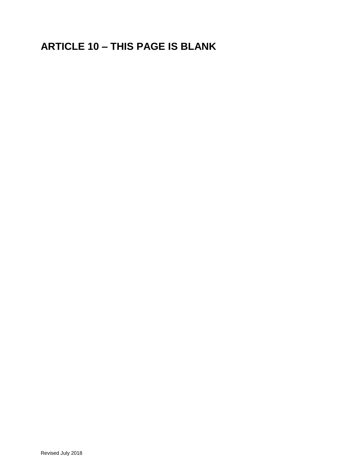# <span id="page-31-0"></span>**ARTICLE 10 – THIS PAGE IS BLANK**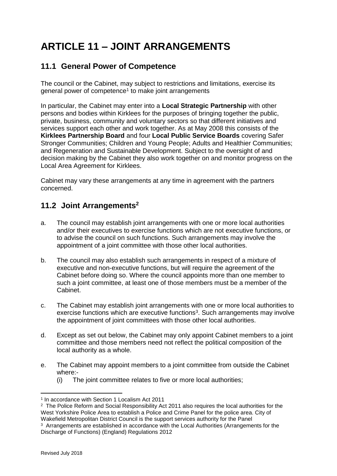# <span id="page-32-0"></span>**ARTICLE 11 – JOINT ARRANGEMENTS**

## <span id="page-32-1"></span>**11.1 General Power of Competence**

The council or the Cabinet, may subject to restrictions and limitations, exercise its general power of competence<sup>1</sup> to make joint arrangements

In particular, the Cabinet may enter into a **Local Strategic Partnership** with other persons and bodies within Kirklees for the purposes of bringing together the public, private, business, community and voluntary sectors so that different initiatives and services support each other and work together. As at May 2008 this consists of the **Kirklees Partnership Board** and four **Local Public Service Boards** covering Safer Stronger Communities; Children and Young People; Adults and Healthier Communities; and Regeneration and Sustainable Development. Subject to the oversight of and decision making by the Cabinet they also work together on and monitor progress on the Local Area Agreement for Kirklees.

Cabinet may vary these arrangements at any time in agreement with the partners concerned.

# <span id="page-32-2"></span>**11.2 Joint Arrangements<sup>2</sup>**

- a. The council may establish joint arrangements with one or more local authorities and/or their executives to exercise functions which are not executive functions, or to advise the council on such functions. Such arrangements may involve the appointment of a joint committee with those other local authorities.
- b. The council may also establish such arrangements in respect of a mixture of executive and non-executive functions, but will require the agreement of the Cabinet before doing so. Where the council appoints more than one member to such a joint committee, at least one of those members must be a member of the Cabinet.
- c. The Cabinet may establish joint arrangements with one or more local authorities to exercise functions which are executive functions<sup>3</sup>. Such arrangements may involve the appointment of joint committees with those other local authorities.
- d. Except as set out below, the Cabinet may only appoint Cabinet members to a joint committee and those members need not reflect the political composition of the local authority as a whole.
- e. The Cabinet may appoint members to a joint committee from outside the Cabinet where:-
	- (i) The joint committee relates to five or more local authorities;

1

<sup>1</sup> In accordance with Section 1 Localism Act 2011

 $2$  The Police Reform and Social Responsibility Act 2011 also requires the local authorities for the West Yorkshire Police Area to establish a Police and Crime Panel for the police area. City of Wakefield Metropolitan District Council is the support services authority for the Panel

<sup>&</sup>lt;sup>3</sup> Arrangements are established in accordance with the Local Authorities (Arrangements for the Discharge of Functions) (England) Regulations 2012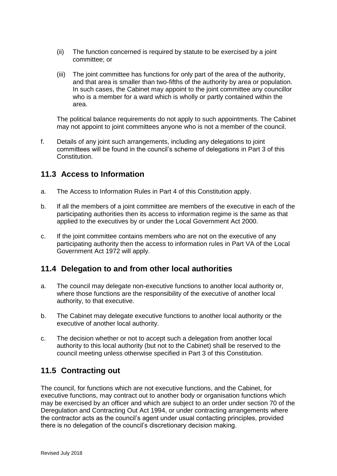- (ii) The function concerned is required by statute to be exercised by a joint committee; or
- (iii) The joint committee has functions for only part of the area of the authority, and that area is smaller than two-fifths of the authority by area or population. In such cases, the Cabinet may appoint to the joint committee any councillor who is a member for a ward which is wholly or partly contained within the area.

The political balance requirements do not apply to such appointments. The Cabinet may not appoint to joint committees anyone who is not a member of the council.

f. Details of any joint such arrangements, including any delegations to joint committees will be found in the council's scheme of delegations in Part 3 of this Constitution.

## <span id="page-33-0"></span>**11.3 Access to Information**

- a. The Access to Information Rules in Part 4 of this Constitution apply.
- b. If all the members of a joint committee are members of the executive in each of the participating authorities then its access to information regime is the same as that applied to the executives by or under the Local Government Act 2000.
- c. If the joint committee contains members who are not on the executive of any participating authority then the access to information rules in Part VA of the Local Government Act 1972 will apply.

## <span id="page-33-1"></span>**11.4 Delegation to and from other local authorities**

- a. The council may delegate non-executive functions to another local authority or, where those functions are the responsibility of the executive of another local authority, to that executive.
- b. The Cabinet may delegate executive functions to another local authority or the executive of another local authority.
- c. The decision whether or not to accept such a delegation from another local authority to this local authority (but not to the Cabinet) shall be reserved to the council meeting unless otherwise specified in Part 3 of this Constitution.

## <span id="page-33-2"></span>**11.5 Contracting out**

The council, for functions which are not executive functions, and the Cabinet, for executive functions, may contract out to another body or organisation functions which may be exercised by an officer and which are subject to an order under section 70 of the Deregulation and Contracting Out Act 1994, or under contracting arrangements where the contractor acts as the council's agent under usual contacting principles, provided there is no delegation of the council's discretionary decision making.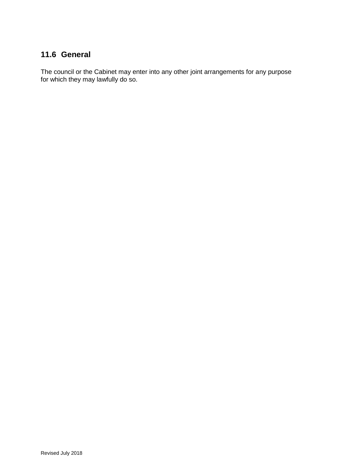# <span id="page-34-0"></span>**11.6 General**

The council or the Cabinet may enter into any other joint arrangements for any purpose for which they may lawfully do so.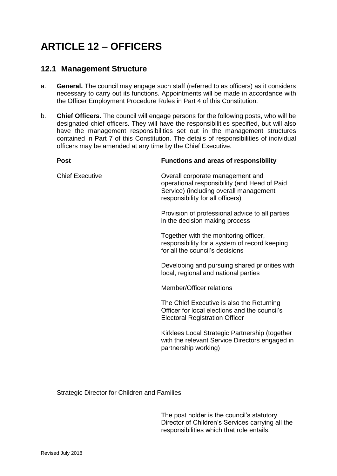# <span id="page-35-0"></span>**ARTICLE 12 – OFFICERS**

## <span id="page-35-1"></span>**12.1 Management Structure**

- a. **General.** The council may engage such staff (referred to as officers) as it considers necessary to carry out its functions. Appointments will be made in accordance with the Officer Employment Procedure Rules in Part 4 of this Constitution.
- b. **Chief Officers.** The council will engage persons for the following posts, who will be designated chief officers. They will have the responsibilities specified, but will also have the management responsibilities set out in the management structures contained in Part 7 of this Constitution. The details of responsibilities of individual officers may be amended at any time by the Chief Executive.

| <b>Post</b>            | <b>Functions and areas of responsibility</b>                                                                                                                   |
|------------------------|----------------------------------------------------------------------------------------------------------------------------------------------------------------|
| <b>Chief Executive</b> | Overall corporate management and<br>operational responsibility (and Head of Paid<br>Service) (including overall management<br>responsibility for all officers) |
|                        | Provision of professional advice to all parties<br>in the decision making process                                                                              |
|                        | Together with the monitoring officer,<br>responsibility for a system of record keeping<br>for all the council's decisions                                      |
|                        | Developing and pursuing shared priorities with<br>local, regional and national parties                                                                         |
|                        | Member/Officer relations                                                                                                                                       |
|                        | The Chief Executive is also the Returning<br>Officer for local elections and the council's<br><b>Electoral Registration Officer</b>                            |
|                        | Kirklees Local Strategic Partnership (together<br>with the relevant Service Directors engaged in<br>partnership working)                                       |
|                        |                                                                                                                                                                |

Strategic Director for Children and Families

The post holder is the council's statutory Director of Children's Services carrying all the responsibilities which that role entails.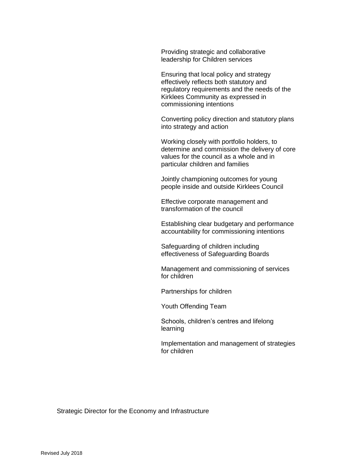Providing strategic and collaborative leadership for Children services

Ensuring that local policy and strategy effectively reflects both statutory and regulatory requirements and the needs of the Kirklees Community as expressed in commissioning intentions

Converting policy direction and statutory plans into strategy and action

Working closely with portfolio holders, to determine and commission the delivery of core values for the council as a whole and in particular children and families

Jointly championing outcomes for young people inside and outside Kirklees Council

Effective corporate management and transformation of the council

Establishing clear budgetary and performance accountability for commissioning intentions

Safeguarding of children including effectiveness of Safeguarding Boards

Management and commissioning of services for children

Partnerships for children

Youth Offending Team

Schools, children's centres and lifelong learning

Implementation and management of strategies for children

Strategic Director for the Economy and Infrastructure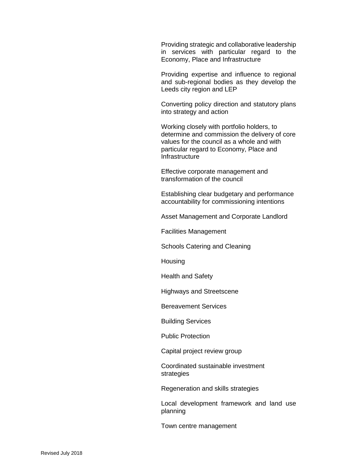Providing strategic and collaborative leadership in services with particular regard to the Economy, Place and Infrastructure

Providing expertise and influence to regional and sub-regional bodies as they develop the Leeds city region and LEP

Converting policy direction and statutory plans into strategy and action

Working closely with portfolio holders, to determine and commission the delivery of core values for the council as a whole and with particular regard to Economy, Place and Infrastructure

Effective corporate management and transformation of the council

Establishing clear budgetary and performance accountability for commissioning intentions

Asset Management and Corporate Landlord

Facilities Management

Schools Catering and Cleaning

**Housing** 

Health and Safety

Highways and Streetscene

Bereavement Services

Building Services

Public Protection

Capital project review group

Coordinated sustainable investment strategies

Regeneration and skills strategies

Local development framework and land use planning

Town centre management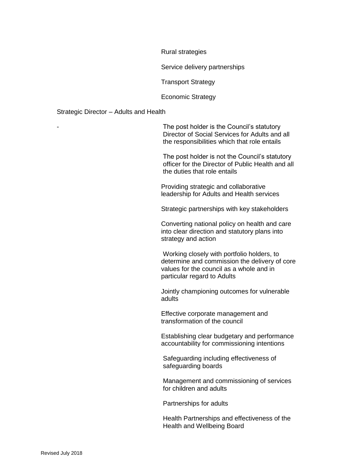Rural strategies

Service delivery partnerships

Transport Strategy

Economic Strategy

#### Strategic Director – Adults and Health

The post holder is the Council's statutory Director of Social Services for Adults and all the responsibilities which that role entails

The post holder is not the Council's statutory officer for the Director of Public Health and all the duties that role entails

Providing strategic and collaborative leadership for Adults and Health services

Strategic partnerships with key stakeholders

Converting national policy on health and care into clear direction and statutory plans into strategy and action

Working closely with portfolio holders, to determine and commission the delivery of core values for the council as a whole and in particular regard to Adults

Jointly championing outcomes for vulnerable adults

Effective corporate management and transformation of the council

Establishing clear budgetary and performance accountability for commissioning intentions

Safeguarding including effectiveness of safeguarding boards

Management and commissioning of services for children and adults

Partnerships for adults

Health Partnerships and effectiveness of the Health and Wellbeing Board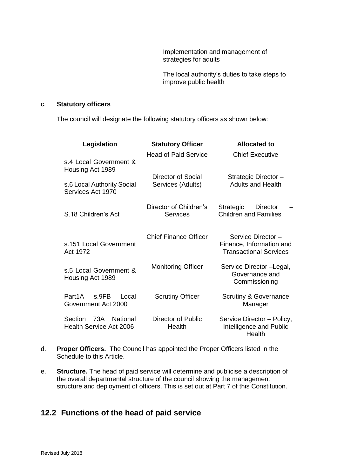Implementation and management of strategies for adults

The local authority's duties to take steps to improve public health

#### c. **Statutory officers**

The council will designate the following statutory officers as shown below:

| Legislation                                           | <b>Statutory Officer</b>                  | <b>Allocated to</b>                                                            |
|-------------------------------------------------------|-------------------------------------------|--------------------------------------------------------------------------------|
| s.4 Local Government &<br>Housing Act 1989            | <b>Head of Paid Service</b>               | <b>Chief Executive</b>                                                         |
| s.6 Local Authority Social<br>Services Act 1970       | Director of Social<br>Services (Adults)   | Strategic Director -<br><b>Adults and Health</b>                               |
| S.18 Children's Act                                   | Director of Children's<br><b>Services</b> | Strategic<br>Director<br><b>Children and Families</b>                          |
| s.151 Local Government<br>Act 1972                    | <b>Chief Finance Officer</b>              | Service Director-<br>Finance, Information and<br><b>Transactional Services</b> |
| s.5 Local Government &<br>Housing Act 1989            | <b>Monitoring Officer</b>                 | Service Director - Legal,<br>Governance and<br>Commissioning                   |
| Part1A<br>s.9FB<br>Local<br>Government Act 2000       | <b>Scrutiny Officer</b>                   | <b>Scrutiny &amp; Governance</b><br>Manager                                    |
| Section<br>73A<br>National<br>Health Service Act 2006 | Director of Public<br>Health              | Service Director - Policy,<br>Intelligence and Public<br>Health                |

- d. **Proper Officers.** The Council has appointed the Proper Officers listed in the Schedule to this Article.
- e. **Structure.** The head of paid service will determine and publicise a description of the overall departmental structure of the council showing the management structure and deployment of officers. This is set out at Part 7 of this Constitution.

## <span id="page-39-0"></span>**12.2 Functions of the head of paid service**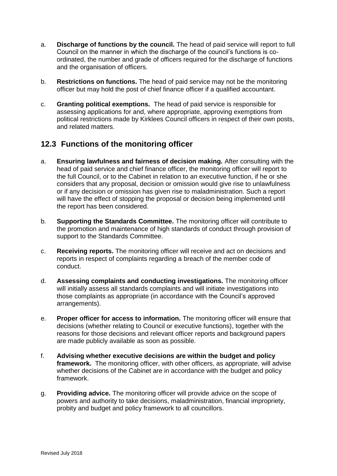- a. **Discharge of functions by the council.** The head of paid service will report to full Council on the manner in which the discharge of the council's functions is coordinated, the number and grade of officers required for the discharge of functions and the organisation of officers.
- b. **Restrictions on functions.** The head of paid service may not be the monitoring officer but may hold the post of chief finance officer if a qualified accountant.
- c. **Granting political exemptions.** The head of paid service is responsible for assessing applications for and, where appropriate, approving exemptions from political restrictions made by Kirklees Council officers in respect of their own posts, and related matters.

## <span id="page-40-0"></span>**12.3 Functions of the monitoring officer**

- a. **Ensuring lawfulness and fairness of decision making.** After consulting with the head of paid service and chief finance officer, the monitoring officer will report to the full Council, or to the Cabinet in relation to an executive function, if he or she considers that any proposal, decision or omission would give rise to unlawfulness or if any decision or omission has given rise to maladministration. Such a report will have the effect of stopping the proposal or decision being implemented until the report has been considered.
- b. **Supporting the Standards Committee.** The monitoring officer will contribute to the promotion and maintenance of high standards of conduct through provision of support to the Standards Committee.
- c. **Receiving reports.** The monitoring officer will receive and act on decisions and reports in respect of complaints regarding a breach of the member code of conduct.
- d. **Assessing complaints and conducting investigations.** The monitoring officer will initially assess all standards complaints and will initiate investigations into those complaints as appropriate (in accordance with the Council's approved arrangements).
- e. **Proper officer for access to information.** The monitoring officer will ensure that decisions (whether relating to Council or executive functions), together with the reasons for those decisions and relevant officer reports and background papers are made publicly available as soon as possible.
- f. **Advising whether executive decisions are within the budget and policy framework.** The monitoring officer, with other officers, as appropriate, will advise whether decisions of the Cabinet are in accordance with the budget and policy framework.
- g. **Providing advice.** The monitoring officer will provide advice on the scope of powers and authority to take decisions, maladministration, financial impropriety, probity and budget and policy framework to all councillors.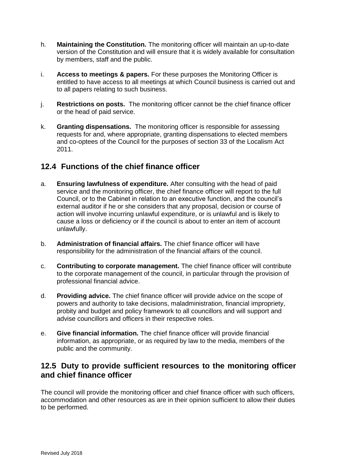- h. **Maintaining the Constitution.** The monitoring officer will maintain an up-to-date version of the Constitution and will ensure that it is widely available for consultation by members, staff and the public.
- i. **Access to meetings & papers.** For these purposes the Monitoring Officer is entitled to have access to all meetings at which Council business is carried out and to all papers relating to such business.
- j. **Restrictions on posts.** The monitoring officer cannot be the chief finance officer or the head of paid service.
- k. **Granting dispensations.** The monitoring officer is responsible for assessing requests for and, where appropriate, granting dispensations to elected members and co-optees of the Council for the purposes of section 33 of the Localism Act 2011.

# <span id="page-41-0"></span>**12.4 Functions of the chief finance officer**

- a. **Ensuring lawfulness of expenditure.** After consulting with the head of paid service and the monitoring officer, the chief finance officer will report to the full Council, or to the Cabinet in relation to an executive function, and the council's external auditor if he or she considers that any proposal, decision or course of action will involve incurring unlawful expenditure, or is unlawful and is likely to cause a loss or deficiency or if the council is about to enter an item of account unlawfully.
- b. **Administration of financial affairs.** The chief finance officer will have responsibility for the administration of the financial affairs of the council.
- c. **Contributing to corporate management.** The chief finance officer will contribute to the corporate management of the council, in particular through the provision of professional financial advice.
- d. **Providing advice.** The chief finance officer will provide advice on the scope of powers and authority to take decisions, maladministration, financial impropriety, probity and budget and policy framework to all councillors and will support and advise councillors and officers in their respective roles.
- e. **Give financial information.** The chief finance officer will provide financial information, as appropriate, or as required by law to the media, members of the public and the community.

## <span id="page-41-1"></span>**12.5 Duty to provide sufficient resources to the monitoring officer and chief finance officer**

The council will provide the monitoring officer and chief finance officer with such officers, accommodation and other resources as are in their opinion sufficient to allow their duties to be performed.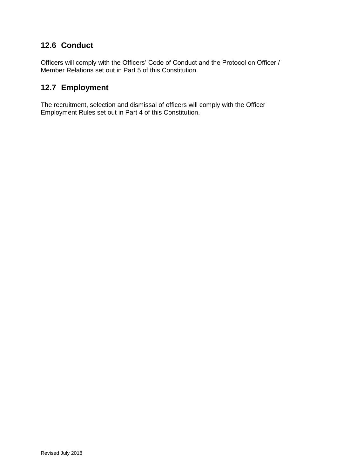# <span id="page-42-0"></span>**12.6 Conduct**

Officers will comply with the Officers' Code of Conduct and the Protocol on Officer / Member Relations set out in Part 5 of this Constitution.

## <span id="page-42-1"></span>**12.7 Employment**

The recruitment, selection and dismissal of officers will comply with the Officer Employment Rules set out in Part 4 of this Constitution.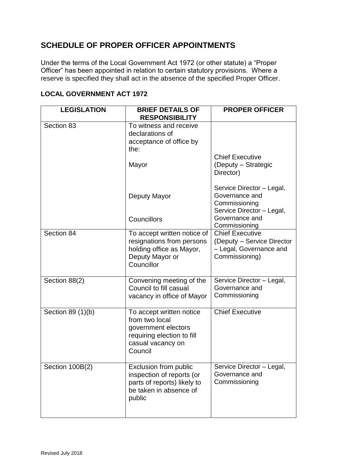# <span id="page-43-0"></span>**SCHEDULE OF PROPER OFFICER APPOINTMENTS**

Under the terms of the Local Government Act 1972 (or other statute) a "Proper Officer" has been appointed in relation to certain statutory provisions. Where a reserve is specified they shall act in the absence of the specified Proper Officer.

### <span id="page-43-1"></span>**LOCAL GOVERNMENT ACT 1972**

| <b>LEGISLATION</b> | <b>BRIEF DETAILS OF</b><br><b>RESPONSIBILITY</b>                                                                                | <b>PROPER OFFICER</b>                                                                                       |
|--------------------|---------------------------------------------------------------------------------------------------------------------------------|-------------------------------------------------------------------------------------------------------------|
| Section 83         | To witness and receive<br>declarations of<br>acceptance of office by<br>the:                                                    |                                                                                                             |
|                    | Mayor                                                                                                                           | <b>Chief Executive</b><br>(Deputy - Strategic<br>Director)                                                  |
|                    | Deputy Mayor                                                                                                                    | Service Director - Legal,<br>Governance and<br>Commissioning<br>Service Director - Legal,<br>Governance and |
|                    | Councillors                                                                                                                     | Commissioning                                                                                               |
| Section 84         | To accept written notice of<br>resignations from persons<br>holding office as Mayor,<br>Deputy Mayor or<br>Councillor           | <b>Chief Executive</b><br>(Deputy - Service Director<br>- Legal, Governance and<br>Commissioning)           |
| Section 88(2)      | Convening meeting of the<br>Council to fill casual<br>vacancy in office of Mayor                                                | Service Director - Legal,<br>Governance and<br>Commissioning                                                |
| Section 89 (1)(b)  | To accept written notice<br>from two local<br>government electors<br>requiring election to fill<br>casual vacancy on<br>Council | <b>Chief Executive</b>                                                                                      |
| Section 100B(2)    | Exclusion from public<br>inspection of reports (or<br>parts of reports) likely to<br>be taken in absence of<br>public           | Service Director - Legal,<br>Governance and<br>Commissioning                                                |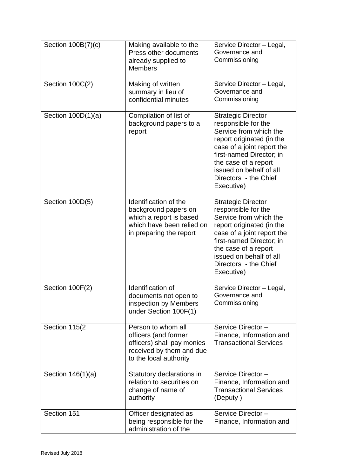| Section 100B(7)(c)   | Making available to the<br>Press other documents<br>already supplied to<br><b>Members</b>                                        | Service Director - Legal,<br>Governance and<br>Commissioning                                                                                                                                                                                                |
|----------------------|----------------------------------------------------------------------------------------------------------------------------------|-------------------------------------------------------------------------------------------------------------------------------------------------------------------------------------------------------------------------------------------------------------|
| Section 100C(2)      | Making of written<br>summary in lieu of<br>confidential minutes                                                                  | Service Director - Legal,<br>Governance and<br>Commissioning                                                                                                                                                                                                |
| Section $100D(1)(a)$ | Compilation of list of<br>background papers to a<br>report                                                                       | <b>Strategic Director</b><br>responsible for the<br>Service from which the<br>report originated (in the<br>case of a joint report the<br>first-named Director; in<br>the case of a report<br>issued on behalf of all<br>Directors - the Chief<br>Executive) |
| Section 100D(5)      | Identification of the<br>background papers on<br>which a report is based<br>which have been relied on<br>in preparing the report | <b>Strategic Director</b><br>responsible for the<br>Service from which the<br>report originated (in the<br>case of a joint report the<br>first-named Director; in<br>the case of a report<br>issued on behalf of all<br>Directors - the Chief<br>Executive) |
| Section 100F(2)      | Identification of<br>documents not open to<br>inspection by Members<br>under Section 100F(1)                                     | Service Director - Legal,<br>Governance and<br>Commissioning                                                                                                                                                                                                |
| Section 115(2        | Person to whom all<br>officers (and former<br>officers) shall pay monies<br>received by them and due<br>to the local authority   | Service Director-<br>Finance, Information and<br><b>Transactional Services</b>                                                                                                                                                                              |
| Section 146(1)(a)    | Statutory declarations in<br>relation to securities on<br>change of name of<br>authority                                         | Service Director-<br>Finance, Information and<br><b>Transactional Services</b><br>(Deputy)                                                                                                                                                                  |
| Section 151          | Officer designated as<br>being responsible for the<br>administration of the                                                      | Service Director-<br>Finance, Information and                                                                                                                                                                                                               |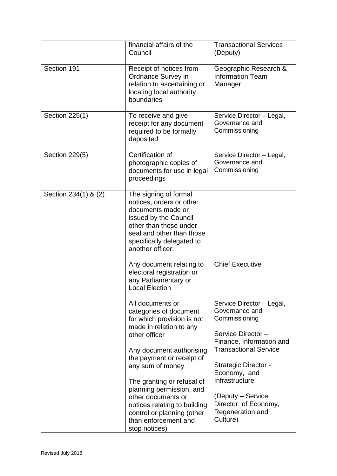|                      | financial affairs of the<br>Council                                                                                                                                                                                                                                                                                                                                                      | <b>Transactional Services</b><br>(Deputy)                                                                                                                                                                                                                                                   |
|----------------------|------------------------------------------------------------------------------------------------------------------------------------------------------------------------------------------------------------------------------------------------------------------------------------------------------------------------------------------------------------------------------------------|---------------------------------------------------------------------------------------------------------------------------------------------------------------------------------------------------------------------------------------------------------------------------------------------|
| Section 191          | Receipt of notices from<br>Ordnance Survey in<br>relation to ascertaining or<br>locating local authority<br>boundaries                                                                                                                                                                                                                                                                   | Geographic Research &<br><b>Information Team</b><br>Manager                                                                                                                                                                                                                                 |
| Section 225(1)       | To receive and give<br>receipt for any document<br>required to be formally<br>deposited                                                                                                                                                                                                                                                                                                  | Service Director - Legal,<br>Governance and<br>Commissioning                                                                                                                                                                                                                                |
| Section 229(5)       | Certification of<br>photographic copies of<br>documents for use in legal<br>proceedings                                                                                                                                                                                                                                                                                                  | Service Director - Legal,<br>Governance and<br>Commissioning                                                                                                                                                                                                                                |
| Section 234(1) & (2) | The signing of formal<br>notices, orders or other<br>documents made or<br>issued by the Council<br>other than those under<br>seal and other than those<br>specifically delegated to<br>another officer:<br>Any document relating to<br>electoral registration or<br>any Parliamentary or<br><b>Local Election</b>                                                                        | <b>Chief Executive</b>                                                                                                                                                                                                                                                                      |
|                      | All documents or<br>categories of document<br>for which provision is not<br>made in relation to any<br>other officer<br>Any document authorising<br>the payment or receipt of<br>any sum of money<br>The granting or refusal of<br>planning permission, and<br>other documents or<br>notices relating to building<br>control or planning (other<br>than enforcement and<br>stop notices) | Service Director - Legal,<br>Governance and<br>Commissioning<br>Service Director-<br>Finance, Information and<br><b>Transactional Service</b><br><b>Strategic Director -</b><br>Economy, and<br>Infrastructure<br>(Deputy – Service<br>Director of Economy,<br>Regeneration and<br>Culture) |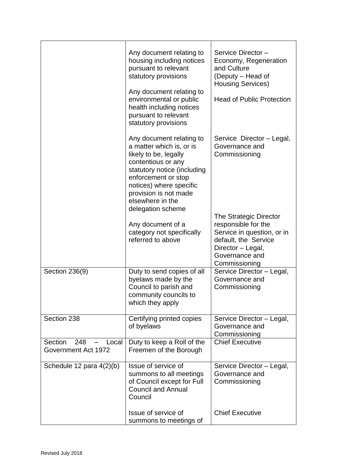|                                                | Any document relating to<br>housing including notices<br>pursuant to relevant<br>statutory provisions<br>Any document relating to<br>environmental or public<br>health including notices<br>pursuant to relevant<br>statutory provisions               | Service Director-<br>Economy, Regeneration<br>and Culture<br>(Deputy – Head of<br><b>Housing Services)</b><br><b>Head of Public Protection</b>              |
|------------------------------------------------|--------------------------------------------------------------------------------------------------------------------------------------------------------------------------------------------------------------------------------------------------------|-------------------------------------------------------------------------------------------------------------------------------------------------------------|
|                                                | Any document relating to<br>a matter which is, or is<br>likely to be, legally<br>contentious or any<br>statutory notice (including<br>enforcement or stop<br>notices) where specific<br>provision is not made<br>elsewhere in the<br>delegation scheme | Service Director - Legal,<br>Governance and<br>Commissioning                                                                                                |
|                                                | Any document of a<br>category not specifically<br>referred to above                                                                                                                                                                                    | The Strategic Director<br>responsible for the<br>Service in question, or in<br>default, the Service<br>Director - Legal,<br>Governance and<br>Commissioning |
| Section 236(9)                                 | Duty to send copies of all<br>byelaws made by the<br>Council to parish and<br>community councils to<br>which they apply                                                                                                                                | Service Director - Legal,<br>Governance and<br>Commissioning                                                                                                |
| Section 238                                    | Certifying printed copies<br>of byelaws                                                                                                                                                                                                                | Service Director - Legal,<br>Governance and<br>Commissioning                                                                                                |
| Section<br>248<br>Local<br>Government Act 1972 | Duty to keep a Roll of the<br>Freemen of the Borough                                                                                                                                                                                                   | <b>Chief Executive</b>                                                                                                                                      |
| Schedule 12 para 4(2)(b)                       | Issue of service of<br>summons to all meetings<br>of Council except for Full<br><b>Council and Annual</b><br>Council                                                                                                                                   | Service Director - Legal,<br>Governance and<br>Commissioning                                                                                                |
|                                                | Issue of service of<br>summons to meetings of                                                                                                                                                                                                          | <b>Chief Executive</b>                                                                                                                                      |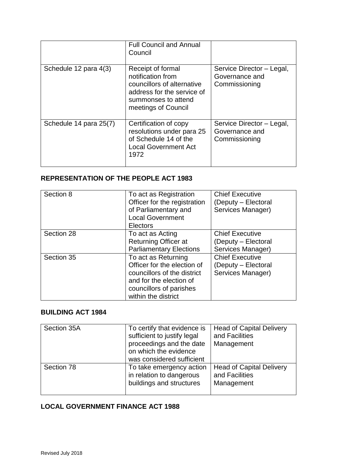|                        | <b>Full Council and Annual</b><br>Council                                                                                                        |                                                              |
|------------------------|--------------------------------------------------------------------------------------------------------------------------------------------------|--------------------------------------------------------------|
| Schedule 12 para 4(3)  | Receipt of formal<br>notification from<br>councillors of alternative<br>address for the service of<br>summonses to attend<br>meetings of Council | Service Director - Legal,<br>Governance and<br>Commissioning |
| Schedule 14 para 25(7) | Certification of copy<br>resolutions under para 25<br>of Schedule 14 of the<br><b>Local Government Act</b><br>1972                               | Service Director - Legal,<br>Governance and<br>Commissioning |

## <span id="page-47-0"></span>**REPRESENTATION OF THE PEOPLE ACT 1983**

| Section 8  | To act as Registration<br>Officer for the registration<br>of Parliamentary and<br><b>Local Government</b><br>Electors                                          | <b>Chief Executive</b><br>(Deputy - Electoral<br>Services Manager) |
|------------|----------------------------------------------------------------------------------------------------------------------------------------------------------------|--------------------------------------------------------------------|
| Section 28 | To act as Acting<br><b>Returning Officer at</b><br><b>Parliamentary Elections</b>                                                                              | <b>Chief Executive</b><br>(Deputy – Electoral<br>Services Manager) |
| Section 35 | To act as Returning<br>Officer for the election of<br>councillors of the district<br>and for the election of<br>councillors of parishes<br>within the district | <b>Chief Executive</b><br>(Deputy - Electoral<br>Services Manager) |

## <span id="page-47-1"></span>**BUILDING ACT 1984**

| Section 35A | To certify that evidence is<br>sufficient to justify legal<br>proceedings and the date<br>on which the evidence<br>was considered sufficient | <b>Head of Capital Delivery</b><br>and Facilities<br>Management |
|-------------|----------------------------------------------------------------------------------------------------------------------------------------------|-----------------------------------------------------------------|
| Section 78  | To take emergency action<br>in relation to dangerous<br>buildings and structures                                                             | <b>Head of Capital Delivery</b><br>and Facilities<br>Management |

# <span id="page-47-2"></span>**LOCAL GOVERNMENT FINANCE ACT 1988**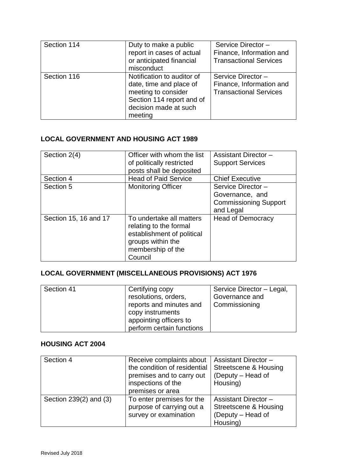| Section 114 | Duty to make a public<br>report in cases of actual<br>or anticipated financial<br>misconduct                                                  | Service Director-<br>Finance, Information and<br><b>Transactional Services</b> |
|-------------|-----------------------------------------------------------------------------------------------------------------------------------------------|--------------------------------------------------------------------------------|
| Section 116 | Notification to auditor of<br>date, time and place of<br>meeting to consider<br>Section 114 report and of<br>decision made at such<br>meeting | Service Director-<br>Finance, Information and<br><b>Transactional Services</b> |

### <span id="page-48-0"></span>**LOCAL GOVERNMENT AND HOUSING ACT 1989**

| Section 2(4)          | Officer with whom the list                                                                                                            | <b>Assistant Director -</b>  |
|-----------------------|---------------------------------------------------------------------------------------------------------------------------------------|------------------------------|
|                       | of politically restricted                                                                                                             | <b>Support Services</b>      |
|                       | posts shall be deposited                                                                                                              |                              |
| Section 4             | <b>Head of Paid Service</b>                                                                                                           | <b>Chief Executive</b>       |
| Section 5             | <b>Monitoring Officer</b>                                                                                                             | Service Director-            |
|                       |                                                                                                                                       | Governance, and              |
|                       |                                                                                                                                       | <b>Commissioning Support</b> |
|                       |                                                                                                                                       | and Legal                    |
| Section 15, 16 and 17 | To undertake all matters<br>relating to the formal<br>establishment of political<br>groups within the<br>membership of the<br>Council | <b>Head of Democracy</b>     |

# <span id="page-48-1"></span>**LOCAL GOVERNMENT (MISCELLANEOUS PROVISIONS) ACT 1976**

| Section 41 | Certifying copy           | Service Director - Legal, |
|------------|---------------------------|---------------------------|
|            | resolutions, orders,      | Governance and            |
|            | reports and minutes and   | Commissioning             |
|            | copy instruments          |                           |
|            | appointing officers to    |                           |
|            | perform certain functions |                           |

### <span id="page-48-2"></span>**HOUSING ACT 2004**

| Section 4              | Receive complaints about<br>the condition of residential<br>premises and to carry out<br>inspections of the<br>premises or area | <b>Assistant Director -</b><br>Streetscene & Housing<br>(Deputy - Head of<br>Housing) |
|------------------------|---------------------------------------------------------------------------------------------------------------------------------|---------------------------------------------------------------------------------------|
| Section 239(2) and (3) | To enter premises for the<br>purpose of carrying out a<br>survey or examination                                                 | <b>Assistant Director-</b><br>Streetscene & Housing<br>(Deputy - Head of<br>Housing)  |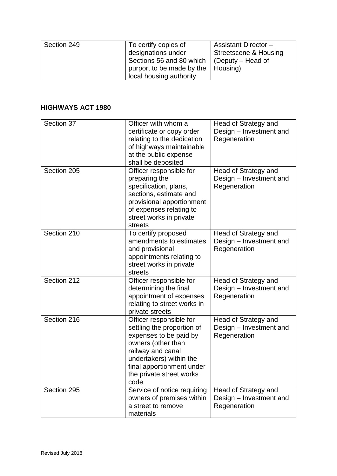| Section 249 | To certify copies of      | <b>Assistant Director -</b> |
|-------------|---------------------------|-----------------------------|
|             | designations under        | Streetscene & Housing       |
|             | Sections 56 and 80 which  | $\vert$ (Deputy – Head of   |
|             | purport to be made by the | Housing)                    |
|             | local housing authority   |                             |

### <span id="page-49-0"></span>**HIGHWAYS ACT 1980**

| Section 37  | Officer with whom a<br>certificate or copy order<br>relating to the dedication<br>of highways maintainable<br>at the public expense<br>shall be deposited                                                              | Head of Strategy and<br>Design - Investment and<br>Regeneration |
|-------------|------------------------------------------------------------------------------------------------------------------------------------------------------------------------------------------------------------------------|-----------------------------------------------------------------|
| Section 205 | Officer responsible for<br>preparing the<br>specification, plans,<br>sections, estimate and<br>provisional apportionment<br>of expenses relating to<br>street works in private<br>streets                              | Head of Strategy and<br>Design - Investment and<br>Regeneration |
| Section 210 | To certify proposed<br>amendments to estimates<br>and provisional<br>appointments relating to<br>street works in private<br>streets                                                                                    | Head of Strategy and<br>Design - Investment and<br>Regeneration |
| Section 212 | Officer responsible for<br>determining the final<br>appointment of expenses<br>relating to street works in<br>private streets                                                                                          | Head of Strategy and<br>Design - Investment and<br>Regeneration |
| Section 216 | Officer responsible for<br>settling the proportion of<br>expenses to be paid by<br>owners (other than<br>railway and canal<br>undertakers) within the<br>final apportionment under<br>the private street works<br>code | Head of Strategy and<br>Design - Investment and<br>Regeneration |
| Section 295 | Service of notice requiring<br>owners of premises within<br>a street to remove<br>materials                                                                                                                            | Head of Strategy and<br>Design - Investment and<br>Regeneration |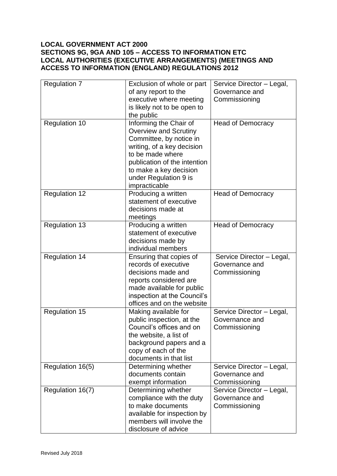### <span id="page-50-2"></span><span id="page-50-1"></span><span id="page-50-0"></span>**LOCAL GOVERNMENT ACT 2000 SECTIONS 9G, 9GA AND 105 – ACCESS TO INFORMATION ETC LOCAL AUTHORITIES (EXECUTIVE ARRANGEMENTS) (MEETINGS AND ACCESS TO INFORMATION (ENGLAND) REGULATIONS 2012**

| <b>Regulation 7</b>  | Exclusion of whole or part<br>of any report to the | Service Director - Legal,<br>Governance and |
|----------------------|----------------------------------------------------|---------------------------------------------|
|                      | executive where meeting                            | Commissioning                               |
|                      | is likely not to be open to                        |                                             |
|                      | the public                                         |                                             |
| <b>Regulation 10</b> | Informing the Chair of                             | <b>Head of Democracy</b>                    |
|                      | <b>Overview and Scrutiny</b>                       |                                             |
|                      | Committee, by notice in                            |                                             |
|                      | writing, of a key decision<br>to be made where     |                                             |
|                      | publication of the intention                       |                                             |
|                      | to make a key decision                             |                                             |
|                      | under Regulation 9 is                              |                                             |
|                      | impracticable                                      |                                             |
| <b>Regulation 12</b> | Producing a written                                | <b>Head of Democracy</b>                    |
|                      | statement of executive                             |                                             |
|                      | decisions made at<br>meetings                      |                                             |
| <b>Regulation 13</b> | Producing a written                                | <b>Head of Democracy</b>                    |
|                      | statement of executive                             |                                             |
|                      | decisions made by                                  |                                             |
|                      | individual members                                 |                                             |
| <b>Regulation 14</b> | Ensuring that copies of                            | Service Director - Legal,                   |
|                      | records of executive                               | Governance and                              |
|                      | decisions made and<br>reports considered are       | Commissioning                               |
|                      | made available for public                          |                                             |
|                      | inspection at the Council's                        |                                             |
|                      | offices and on the website                         |                                             |
| <b>Regulation 15</b> | Making available for                               | Service Director - Legal,                   |
|                      | public inspection, at the                          | Governance and                              |
|                      | Council's offices and on                           | Commissioning                               |
|                      | the website, a list of<br>background papers and a  |                                             |
|                      | copy of each of the                                |                                             |
|                      | documents in that list                             |                                             |
| Regulation 16(5)     | Determining whether                                | Service Director - Legal,                   |
|                      | documents contain                                  | Governance and                              |
|                      | exempt information                                 | Commissioning                               |
| Regulation 16(7)     | Determining whether                                | Service Director - Legal,                   |
|                      | compliance with the duty<br>to make documents      | Governance and                              |
|                      | available for inspection by                        | Commissioning                               |
|                      | members will involve the                           |                                             |
|                      | disclosure of advice                               |                                             |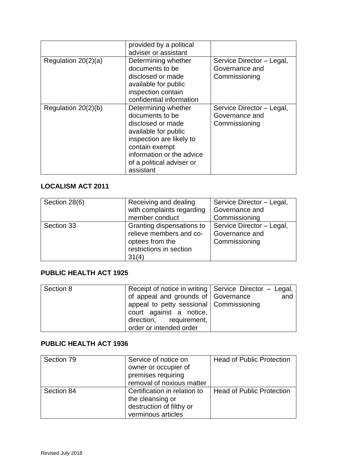|                       | provided by a political   |                           |
|-----------------------|---------------------------|---------------------------|
|                       | adviser or assistant      |                           |
| Regulation $20(2)(a)$ | Determining whether       | Service Director - Legal, |
|                       | documents to be           | Governance and            |
|                       | disclosed or made         | Commissioning             |
|                       | available for public      |                           |
|                       | inspection contain        |                           |
|                       | confidential information  |                           |
| Regulation 20(2)(b)   | Determining whether       | Service Director - Legal, |
|                       | documents to be           | Governance and            |
|                       | disclosed or made         | Commissioning             |
|                       | available for public      |                           |
|                       | inspection are likely to  |                           |
|                       | contain exempt            |                           |
|                       | information or the advice |                           |
|                       | of a political adviser or |                           |
|                       | assistant                 |                           |

# <span id="page-51-0"></span>**LOCALISM ACT 2011**

| Section 28(6) | Receiving and dealing<br>with complaints regarding<br>member conduct                                        | Service Director - Legal,<br>Governance and<br>Commissioning |
|---------------|-------------------------------------------------------------------------------------------------------------|--------------------------------------------------------------|
| Section 33    | Granting dispensations to<br>relieve members and co-<br>optees from the<br>restrictions in section<br>31(4) | Service Director - Legal,<br>Governance and<br>Commissioning |

### <span id="page-51-1"></span>**PUBLIC HEALTH ACT 1925**

| Section 8 | Receipt of notice in writing   Service Director - Legal, |     |
|-----------|----------------------------------------------------------|-----|
|           | of appeal and grounds of Governance                      | and |
|           | appeal to petty sessional Commissioning                  |     |
|           | court against a notice,                                  |     |
|           | direction, requirement,                                  |     |
|           | order or intended order                                  |     |

## **PUBLIC HEALTH ACT 1936**

| Section 79 | Service of notice on         | <b>Head of Public Protection</b> |
|------------|------------------------------|----------------------------------|
|            | owner or occupier of         |                                  |
|            | premises requiring           |                                  |
|            | removal of noxious matter    |                                  |
| Section 84 | Certification in relation to | <b>Head of Public Protection</b> |
|            | the cleansing or             |                                  |
|            | destruction of filthy or     |                                  |
|            | verminous articles           |                                  |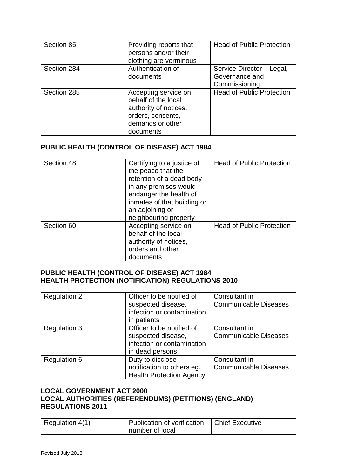| Section 85  | Providing reports that<br>persons and/or their<br>clothing are verminous                                                   | <b>Head of Public Protection</b>                             |
|-------------|----------------------------------------------------------------------------------------------------------------------------|--------------------------------------------------------------|
| Section 284 | Authentication of<br>documents                                                                                             | Service Director - Legal,<br>Governance and<br>Commissioning |
| Section 285 | Accepting service on<br>behalf of the local<br>authority of notices,<br>orders, consents,<br>demands or other<br>documents | <b>Head of Public Protection</b>                             |

## <span id="page-52-0"></span>**PUBLIC HEALTH (CONTROL OF DISEASE) ACT 1984**

| Section 48 | Certifying to a justice of<br>the peace that the<br>retention of a dead body<br>in any premises would<br>endanger the health of<br>inmates of that building or<br>an adjoining or | <b>Head of Public Protection</b> |
|------------|-----------------------------------------------------------------------------------------------------------------------------------------------------------------------------------|----------------------------------|
|            | neighbouring property                                                                                                                                                             |                                  |
| Section 60 | Accepting service on<br>behalf of the local<br>authority of notices,<br>orders and other<br>documents                                                                             | <b>Head of Public Protection</b> |

### <span id="page-52-2"></span><span id="page-52-1"></span>**PUBLIC HEALTH (CONTROL OF DISEASE) ACT 1984 HEALTH PROTECTION (NOTIFICATION) REGULATIONS 2010**

| <b>Regulation 2</b> | Officer to be notified of       | Consultant in                |
|---------------------|---------------------------------|------------------------------|
|                     | suspected disease,              | <b>Communicable Diseases</b> |
|                     | infection or contamination      |                              |
|                     | in patients                     |                              |
| <b>Regulation 3</b> | Officer to be notified of       | Consultant in                |
|                     | suspected disease,              | <b>Communicable Diseases</b> |
|                     | infection or contamination      |                              |
|                     | in dead persons                 |                              |
| <b>Regulation 6</b> | Duty to disclose                | Consultant in                |
|                     | notification to others eg.      | <b>Communicable Diseases</b> |
|                     | <b>Health Protection Agency</b> |                              |

### <span id="page-52-4"></span><span id="page-52-3"></span>**LOCAL GOVERNMENT ACT 2000 LOCAL AUTHORITIES (REFERENDUMS) (PETITIONS) (ENGLAND) REGULATIONS 2011**

| Regulation 4(1) | <sup>1</sup> Publication of verification | <b>Chief Executive</b> |
|-----------------|------------------------------------------|------------------------|
|                 | number of local                          |                        |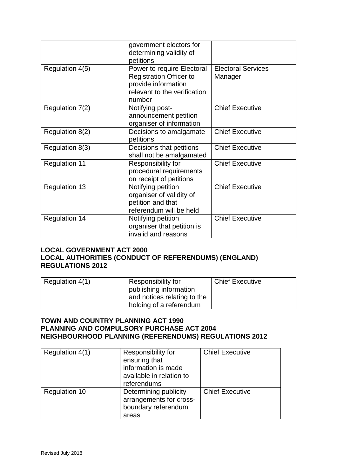|                      | government electors for<br>determining validity of<br>petitions                                                               |                                      |
|----------------------|-------------------------------------------------------------------------------------------------------------------------------|--------------------------------------|
| Regulation 4(5)      | Power to require Electoral<br><b>Registration Officer to</b><br>provide information<br>relevant to the verification<br>number | <b>Electoral Services</b><br>Manager |
| Regulation 7(2)      | Notifying post-<br>announcement petition<br>organiser of information                                                          | <b>Chief Executive</b>               |
| Regulation 8(2)      | Decisions to amalgamate<br>petitions                                                                                          | <b>Chief Executive</b>               |
| Regulation 8(3)      | Decisions that petitions<br>shall not be amalgamated                                                                          | <b>Chief Executive</b>               |
| <b>Regulation 11</b> | Responsibility for<br>procedural requirements<br>on receipt of petitions                                                      | <b>Chief Executive</b>               |
| <b>Regulation 13</b> | Notifying petition<br>organiser of validity of<br>petition and that<br>referendum will be held                                | <b>Chief Executive</b>               |
| <b>Regulation 14</b> | Notifying petition<br>organiser that petition is<br>invalid and reasons                                                       | <b>Chief Executive</b>               |

### <span id="page-53-1"></span><span id="page-53-0"></span>**LOCAL GOVERNMENT ACT 2000 LOCAL AUTHORITIES (CONDUCT OF REFERENDUMS) (ENGLAND) REGULATIONS 2012**

| Regulation 4(1) | Responsibility for          | <b>Chief Executive</b> |
|-----------------|-----------------------------|------------------------|
|                 | publishing information      |                        |
|                 | and notices relating to the |                        |
|                 | holding of a referendum     |                        |

### <span id="page-53-3"></span><span id="page-53-2"></span>**TOWN AND COUNTRY PLANNING ACT 1990 PLANNING AND COMPULSORY PURCHASE ACT 2004 NEIGHBOURHOOD PLANNING (REFERENDUMS) REGULATIONS 2012**

<span id="page-53-4"></span>

| Regulation 4(1)      | Responsibility for<br>ensuring that<br>information is made<br>available in relation to<br>referendums | <b>Chief Executive</b> |
|----------------------|-------------------------------------------------------------------------------------------------------|------------------------|
| <b>Regulation 10</b> | Determining publicity<br>arrangements for cross-<br>boundary referendum<br>areas                      | <b>Chief Executive</b> |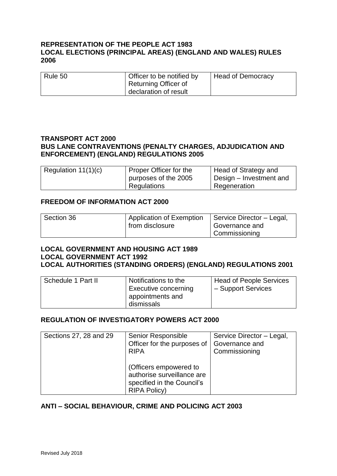### <span id="page-54-1"></span><span id="page-54-0"></span>**REPRESENTATION OF THE PEOPLE ACT 1983 LOCAL ELECTIONS (PRINCIPAL AREAS) (ENGLAND AND WALES) RULES 2006**

| Rule 50 | Officer to be notified by   | <b>Head of Democracy</b> |
|---------|-----------------------------|--------------------------|
|         | <b>Returning Officer of</b> |                          |
|         | declaration of result       |                          |

### <span id="page-54-3"></span><span id="page-54-2"></span>**TRANSPORT ACT 2000 BUS LANE CONTRAVENTIONS (PENALTY CHARGES, ADJUDICATION AND ENFORCEMENT) (ENGLAND) REGULATIONS 2005**

| Regulation $11(1)(c)$ | Proper Officer for the | Head of Strategy and    |
|-----------------------|------------------------|-------------------------|
|                       | purposes of the 2005   | Design – Investment and |
|                       | Regulations            | Regeneration            |

### <span id="page-54-4"></span>**FREEDOM OF INFORMATION ACT 2000**

| Section 36 | <sup>1</sup> Application of Exemption | Service Director - Legal, |
|------------|---------------------------------------|---------------------------|
|            | from disclosure                       | Governance and            |
|            |                                       | Commissioning             |

#### <span id="page-54-6"></span><span id="page-54-5"></span>**LOCAL GOVERNMENT AND HOUSING ACT 1989 LOCAL GOVERNMENT ACT 1992 LOCAL AUTHORITIES (STANDING ORDERS) (ENGLAND) REGULATIONS 2001**

<span id="page-54-7"></span>

| Schedule 1 Part II | Notifications to the                                   | Head of People Services |
|--------------------|--------------------------------------------------------|-------------------------|
|                    | Executive concerning<br>appointments and<br>dismissals | - Support Services      |

### <span id="page-54-8"></span>**REGULATION OF INVESTIGATORY POWERS ACT 2000**

| Sections 27, 28 and 29 | Senior Responsible<br>Officer for the purposes of<br><b>RIPA</b>                                          | Service Director - Legal,<br>Governance and<br>Commissioning |
|------------------------|-----------------------------------------------------------------------------------------------------------|--------------------------------------------------------------|
|                        | (Officers empowered to<br>authorise surveillance are<br>specified in the Council's<br><b>RIPA Policy)</b> |                                                              |

### <span id="page-54-9"></span>**ANTI – SOCIAL BEHAVIOUR, CRIME AND POLICING ACT 2003**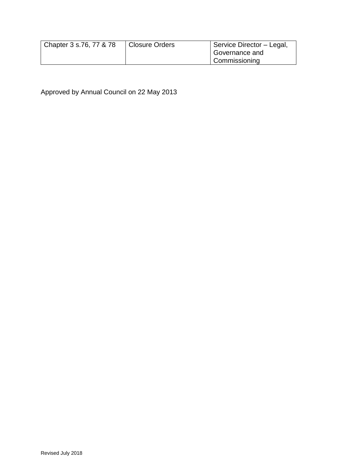| Chapter 3 s.76, 77 & 78 | <b>Closure Orders</b> | Service Director - Legal, |
|-------------------------|-----------------------|---------------------------|
|                         |                       | Governance and            |
|                         |                       | Commissioning             |

Approved by Annual Council on 22 May 2013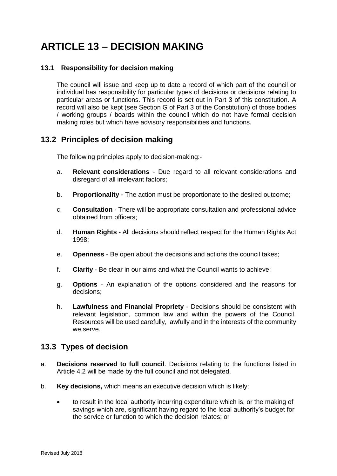# <span id="page-56-0"></span>**ARTICLE 13 – DECISION MAKING**

### <span id="page-56-1"></span>**13.1 Responsibility for decision making**

The council will issue and keep up to date a record of which part of the council or individual has responsibility for particular types of decisions or decisions relating to particular areas or functions. This record is set out in Part 3 of this constitution. A record will also be kept (see Section G of Part 3 of the Constitution) of those bodies / working groups / boards within the council which do not have formal decision making roles but which have advisory responsibilities and functions.

## <span id="page-56-2"></span>**13.2 Principles of decision making**

The following principles apply to decision-making:-

- a. **Relevant considerations** Due regard to all relevant considerations and disregard of all irrelevant factors;
- b. **Proportionality** The action must be proportionate to the desired outcome;
- c. **Consultation** There will be appropriate consultation and professional advice obtained from officers;
- d. **Human Rights** All decisions should reflect respect for the Human Rights Act 1998;
- e. **Openness** Be open about the decisions and actions the council takes;
- f. **Clarity** Be clear in our aims and what the Council wants to achieve;
- g. **Options** An explanation of the options considered and the reasons for decisions;
- h. **Lawfulness and Financial Propriety** Decisions should be consistent with relevant legislation, common law and within the powers of the Council. Resources will be used carefully, lawfully and in the interests of the community we serve.

## <span id="page-56-3"></span>**13.3 Types of decision**

- a. **Decisions reserved to full council**. Decisions relating to the functions listed in Article 4.2 will be made by the full council and not delegated.
- b. **Key decisions,** which means an executive decision which is likely:
	- to result in the local authority incurring expenditure which is, or the making of savings which are, significant having regard to the local authority's budget for the service or function to which the decision relates; or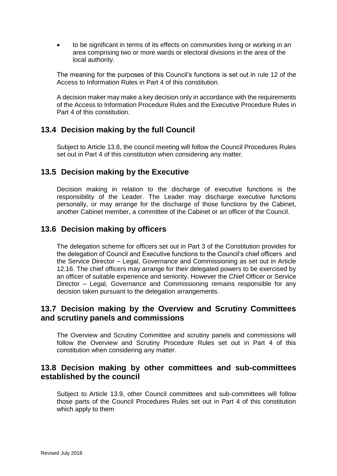to be significant in terms of its effects on communities living or working in an area comprising two or more wards or electoral divisions in the area of the local authority.

The meaning for the purposes of this Council's functions is set out in rule 12 of the Access to Information Rules in Part 4 of this constitution.

A decision maker may make a key decision only in accordance with the requirements of the Access to Information Procedure Rules and the Executive Procedure Rules in Part 4 of this constitution.

## <span id="page-57-0"></span>**13.4 Decision making by the full Council**

Subject to Article 13.8, the council meeting will follow the Council Procedures Rules set out in Part 4 of this constitution when considering any matter.

## <span id="page-57-1"></span>**13.5 Decision making by the Executive**

Decision making in relation to the discharge of executive functions is the responsibility of the Leader. The Leader may discharge executive functions personally, or may arrange for the discharge of those functions by the Cabinet, another Cabinet member, a committee of the Cabinet or an officer of the Council.

### <span id="page-57-2"></span>**13.6 Decision making by officers**

The delegation scheme for officers set out in Part 3 of the Constitution provides for the delegation of Council and Executive functions to the Council's chief officers and the Service Director – Legal, Governance and Commissioning as set out in Article 12.16. The chief officers may arrange for their delegated powers to be exercised by an officer of suitable experience and seniority. However the Chief Officer or Service Director – Legal, Governance and Commissioning remains responsible for any decision taken pursuant to the delegation arrangements.

### <span id="page-57-3"></span>**13.7 Decision making by the Overview and Scrutiny Committees and scrutiny panels and commissions**

The Overview and Scrutiny Committee and scrutiny panels and commissions will follow the Overview and Scrutiny Procedure Rules set out in Part 4 of this constitution when considering any matter.

## <span id="page-57-4"></span>**13.8 Decision making by other committees and sub-committees established by the council**

Subject to Article 13.9, other Council committees and sub-committees will follow those parts of the Council Procedures Rules set out in Part 4 of this constitution which apply to them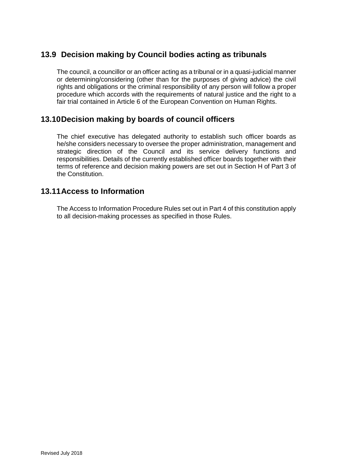# <span id="page-58-0"></span>**13.9 Decision making by Council bodies acting as tribunals**

The council, a councillor or an officer acting as a tribunal or in a quasi-judicial manner or determining/considering (other than for the purposes of giving advice) the civil rights and obligations or the criminal responsibility of any person will follow a proper procedure which accords with the requirements of natural justice and the right to a fair trial contained in Article 6 of the European Convention on Human Rights.

## <span id="page-58-1"></span>**13.10Decision making by boards of council officers**

The chief executive has delegated authority to establish such officer boards as he/she considers necessary to oversee the proper administration, management and strategic direction of the Council and its service delivery functions and responsibilities. Details of the currently established officer boards together with their terms of reference and decision making powers are set out in Section H of Part 3 of the Constitution.

## <span id="page-58-2"></span>**13.11Access to Information**

The Access to Information Procedure Rules set out in Part 4 of this constitution apply to all decision-making processes as specified in those Rules.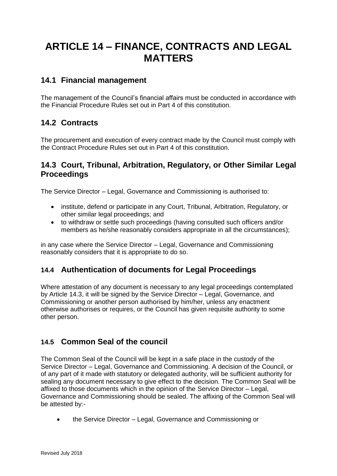# <span id="page-59-0"></span>**ARTICLE 14 – FINANCE, CONTRACTS AND LEGAL MATTERS**

## <span id="page-59-1"></span>**14.1 Financial management**

The management of the Council's financial affairs must be conducted in accordance with the Financial Procedure Rules set out in Part 4 of this constitution.

## <span id="page-59-2"></span>**14.2 Contracts**

The procurement and execution of every contract made by the Council must comply with the Contract Procedure Rules set out in Part 4 of this constitution.

## <span id="page-59-3"></span>**14.3 Court, Tribunal, Arbitration, Regulatory, or Other Similar Legal Proceedings**

The Service Director – Legal, Governance and Commissioning is authorised to:

- institute, defend or participate in any Court, Tribunal, Arbitration, Regulatory, or other similar legal proceedings; and
- to withdraw or settle such proceedings (having consulted such officers and/or members as he/she reasonably considers appropriate in all the circumstances);

in any case where the Service Director – Legal, Governance and Commissioning reasonably considers that it is appropriate to do so.

## <span id="page-59-4"></span>**14.4 Authentication of documents for Legal Proceedings**

Where attestation of any document is necessary to any legal proceedings contemplated by Article 14.3, it will be signed by the Service Director – Legal, Governance, and Commissioning or another person authorised by him/her, unless any enactment otherwise authorises or requires, or the Council has given requisite authority to some other person.

## <span id="page-59-5"></span>**14.5 Common Seal of the council**

The Common Seal of the Council will be kept in a safe place in the custody of the Service Director – Legal, Governance and Commissioning. A decision of the Council, or of any part of it made with statutory or delegated authority, will be sufficient authority for sealing any document necessary to give effect to the decision. The Common Seal will be affixed to those documents which in the opinion of the Service Director – Legal, Governance and Commissioning should be sealed. The affixing of the Common Seal will be attested by:-

the Service Director – Legal, Governance and Commissioning or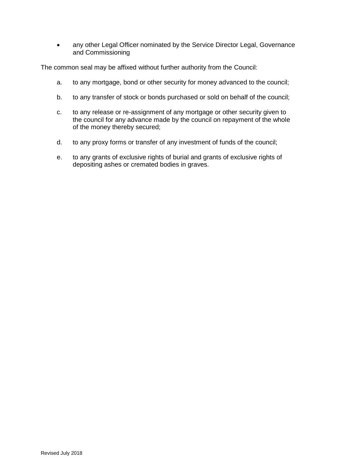• any other Legal Officer nominated by the Service Director Legal, Governance and Commissioning

The common seal may be affixed without further authority from the Council:

- a. to any mortgage, bond or other security for money advanced to the council;
- b. to any transfer of stock or bonds purchased or sold on behalf of the council;
- c. to any release or re-assignment of any mortgage or other security given to the council for any advance made by the council on repayment of the whole of the money thereby secured;
- d. to any proxy forms or transfer of any investment of funds of the council;
- e. to any grants of exclusive rights of burial and grants of exclusive rights of depositing ashes or cremated bodies in graves.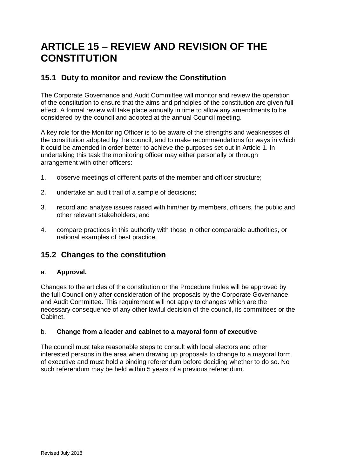# <span id="page-61-0"></span>**ARTICLE 15 – REVIEW AND REVISION OF THE CONSTITUTION**

## <span id="page-61-1"></span>**15.1 Duty to monitor and review the Constitution**

The Corporate Governance and Audit Committee will monitor and review the operation of the constitution to ensure that the aims and principles of the constitution are given full effect. A formal review will take place annually in time to allow any amendments to be considered by the council and adopted at the annual Council meeting.

A key role for the Monitoring Officer is to be aware of the strengths and weaknesses of the constitution adopted by the council, and to make recommendations for ways in which it could be amended in order better to achieve the purposes set out in Article 1. In undertaking this task the monitoring officer may either personally or through arrangement with other officers:

- 1. observe meetings of different parts of the member and officer structure;
- 2. undertake an audit trail of a sample of decisions;
- 3. record and analyse issues raised with him/her by members, officers, the public and other relevant stakeholders; and
- 4. compare practices in this authority with those in other comparable authorities, or national examples of best practice.

# <span id="page-61-2"></span>**15.2 Changes to the constitution**

### a. **Approval.**

Changes to the articles of the constitution or the Procedure Rules will be approved by the full Council only after consideration of the proposals by the Corporate Governance and Audit Committee. This requirement will not apply to changes which are the necessary consequence of any other lawful decision of the council, its committees or the Cabinet.

### b. **Change from a leader and cabinet to a mayoral form of executive**

The council must take reasonable steps to consult with local electors and other interested persons in the area when drawing up proposals to change to a mayoral form of executive and must hold a binding referendum before deciding whether to do so. No such referendum may be held within 5 years of a previous referendum.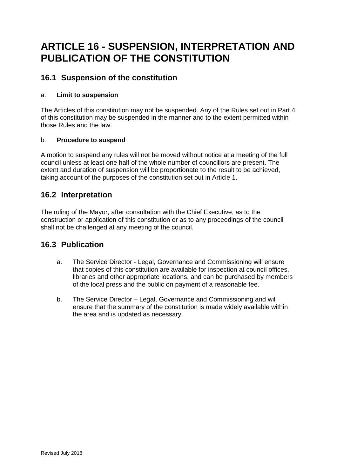# <span id="page-62-0"></span>**ARTICLE 16 - SUSPENSION, INTERPRETATION AND PUBLICATION OF THE CONSTITUTION**

## <span id="page-62-1"></span>**16.1 Suspension of the constitution**

### a. **Limit to suspension**

The Articles of this constitution may not be suspended. Any of the Rules set out in Part 4 of this constitution may be suspended in the manner and to the extent permitted within those Rules and the law.

### b. **Procedure to suspend**

A motion to suspend any rules will not be moved without notice at a meeting of the full council unless at least one half of the whole number of councillors are present. The extent and duration of suspension will be proportionate to the result to be achieved, taking account of the purposes of the constitution set out in Article 1.

## <span id="page-62-2"></span>**16.2 Interpretation**

The ruling of the Mayor, after consultation with the Chief Executive, as to the construction or application of this constitution or as to any proceedings of the council shall not be challenged at any meeting of the council.

## <span id="page-62-3"></span>**16.3 Publication**

- a. The Service Director Legal, Governance and Commissioning will ensure that copies of this constitution are available for inspection at council offices, libraries and other appropriate locations, and can be purchased by members of the local press and the public on payment of a reasonable fee.
- b. The Service Director Legal, Governance and Commissioning and will ensure that the summary of the constitution is made widely available within the area and is updated as necessary.